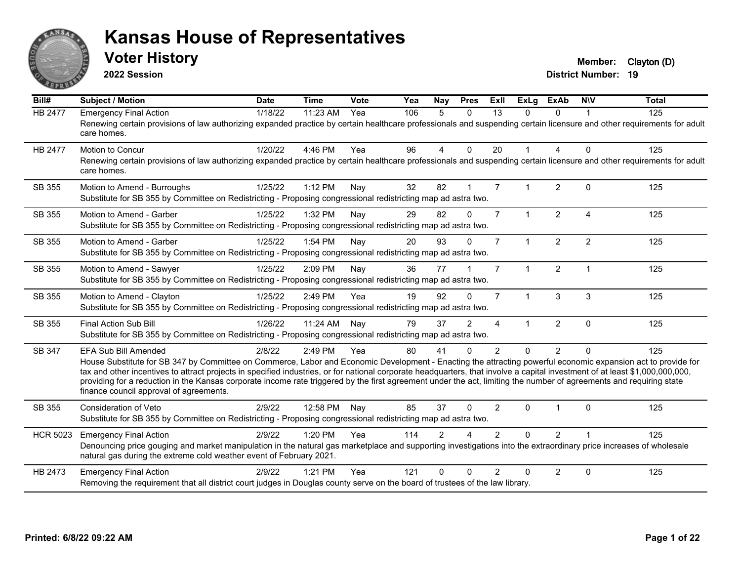

**2022 Session**

**Voter History Member:** Clayton (D)

| Bill#           | <b>Subject / Motion</b>                                                                                                                                                                                                                                                                                                                                                                                                                                                                                                                                                                            | <b>Date</b> | <b>Time</b> | Vote | Yea | <b>Nay</b>     | <b>Pres</b>    | ExII           | <b>ExLg</b>          | <b>ExAb</b>    | <b>NIV</b>     | <b>Total</b> |
|-----------------|----------------------------------------------------------------------------------------------------------------------------------------------------------------------------------------------------------------------------------------------------------------------------------------------------------------------------------------------------------------------------------------------------------------------------------------------------------------------------------------------------------------------------------------------------------------------------------------------------|-------------|-------------|------|-----|----------------|----------------|----------------|----------------------|----------------|----------------|--------------|
| HB 2477         | <b>Emergency Final Action</b><br>Renewing certain provisions of law authorizing expanded practice by certain healthcare professionals and suspending certain licensure and other requirements for adult<br>care homes.                                                                                                                                                                                                                                                                                                                                                                             | 1/18/22     | 11:23 AM    | Yea  | 106 | 5              | $\Omega$       | 13             | $\Omega$             | $\Omega$       |                | 125          |
| <b>HB 2477</b>  | Motion to Concur<br>Renewing certain provisions of law authorizing expanded practice by certain healthcare professionals and suspending certain licensure and other requirements for adult<br>care homes.                                                                                                                                                                                                                                                                                                                                                                                          | 1/20/22     | 4:46 PM     | Yea  | 96  | 4              | $\mathbf{0}$   | 20             |                      | 4              | $\mathbf{0}$   | 125          |
| SB 355          | Motion to Amend - Burroughs<br>Substitute for SB 355 by Committee on Redistricting - Proposing congressional redistricting map ad astra two.                                                                                                                                                                                                                                                                                                                                                                                                                                                       | 1/25/22     | 1:12 PM     | Nav  | 32  | 82             | $\overline{1}$ | $\overline{7}$ |                      | 2              | $\Omega$       | 125          |
| SB 355          | Motion to Amend - Garber<br>Substitute for SB 355 by Committee on Redistricting - Proposing congressional redistricting map ad astra two.                                                                                                                                                                                                                                                                                                                                                                                                                                                          | 1/25/22     | 1:32 PM     | Nay  | 29  | 82             | $\Omega$       | $\overline{7}$ | $\mathbf{1}$         | $\overline{2}$ | $\overline{4}$ | 125          |
| SB 355          | Motion to Amend - Garber<br>Substitute for SB 355 by Committee on Redistricting - Proposing congressional redistricting map ad astra two.                                                                                                                                                                                                                                                                                                                                                                                                                                                          | 1/25/22     | 1:54 PM     | Nay  | 20  | 93             | $\Omega$       | $\overline{7}$ | $\mathbf{1}$         | $\overline{2}$ | 2              | 125          |
| SB 355          | Motion to Amend - Sawyer<br>Substitute for SB 355 by Committee on Redistricting - Proposing congressional redistricting map ad astra two.                                                                                                                                                                                                                                                                                                                                                                                                                                                          | 1/25/22     | 2:09 PM     | Nay  | 36  | 77             |                | $\overline{7}$ | $\mathbf 1$          | $\overline{2}$ | $\overline{1}$ | 125          |
| SB 355          | Motion to Amend - Clayton<br>Substitute for SB 355 by Committee on Redistricting - Proposing congressional redistricting map ad astra two.                                                                                                                                                                                                                                                                                                                                                                                                                                                         | 1/25/22     | 2:49 PM     | Yea  | 19  | 92             | $\Omega$       | $\overline{7}$ | $\blacktriangleleft$ | 3              | 3              | 125          |
| SB 355          | Final Action Sub Bill<br>Substitute for SB 355 by Committee on Redistricting - Proposing congressional redistricting map ad astra two.                                                                                                                                                                                                                                                                                                                                                                                                                                                             | 1/26/22     | 11:24 AM    | Nav  | 79  | 37             | 2              | 4              |                      | $\overline{2}$ | $\mathbf 0$    | 125          |
| SB 347          | <b>EFA Sub Bill Amended</b><br>House Substitute for SB 347 by Committee on Commerce, Labor and Economic Development - Enacting the attracting powerful economic expansion act to provide for<br>tax and other incentives to attract projects in specified industries, or for national corporate headquarters, that involve a capital investment of at least \$1,000,000,000,000,<br>providing for a reduction in the Kansas corporate income rate triggered by the first agreement under the act, limiting the number of agreements and requiring state<br>finance council approval of agreements. | 2/8/22      | 2:49 PM     | Yea  | 80  | 41             | $\Omega$       | $\overline{2}$ | $\Omega$             | $\overline{2}$ | $\Omega$       | 125          |
| SB 355          | Consideration of Veto<br>Substitute for SB 355 by Committee on Redistricting - Proposing congressional redistricting map ad astra two.                                                                                                                                                                                                                                                                                                                                                                                                                                                             | 2/9/22      | 12:58 PM    | Nay  | 85  | 37             | $\Omega$       | $\overline{2}$ | 0                    |                | $\mathbf{0}$   | 125          |
| <b>HCR 5023</b> | <b>Emergency Final Action</b><br>Denouncing price gouging and market manipulation in the natural gas marketplace and supporting investigations into the extraordinary price increases of wholesale<br>natural gas during the extreme cold weather event of February 2021.                                                                                                                                                                                                                                                                                                                          | 2/9/22      | 1:20 PM     | Yea  | 114 | $\mathfrak{p}$ |                | $\mathcal{P}$  | $\Omega$             | $\overline{2}$ |                | 125          |
| HB 2473         | <b>Emergency Final Action</b><br>Removing the requirement that all district court judges in Douglas county serve on the board of trustees of the law library.                                                                                                                                                                                                                                                                                                                                                                                                                                      | 2/9/22      | 1:21 PM     | Yea  | 121 | $\Omega$       | $\Omega$       | $\mathcal{P}$  | $\Omega$             | $\overline{2}$ | $\mathbf{0}$   | 125          |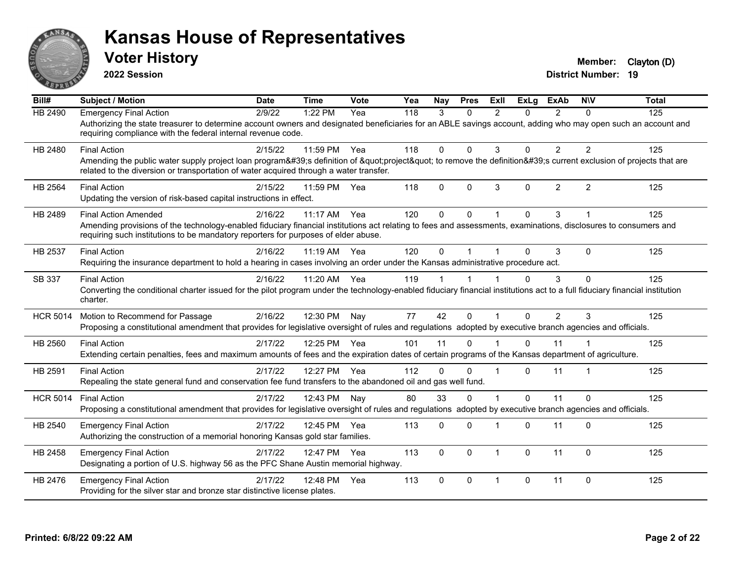

**2022 Session**

**Voter History Member:** Clayton (D)

| Bill#           | <b>Subject / Motion</b>                                                                                                                                                                                                                                                              | <b>Date</b> | <b>Time</b> | <b>Vote</b> | Yea | <b>Nav</b>   | <b>Pres</b> | ExIl           | <b>ExLa</b>  | <b>ExAb</b>    | <b>NIV</b>     | <b>Total</b> |
|-----------------|--------------------------------------------------------------------------------------------------------------------------------------------------------------------------------------------------------------------------------------------------------------------------------------|-------------|-------------|-------------|-----|--------------|-------------|----------------|--------------|----------------|----------------|--------------|
| HB 2490         | <b>Emergency Final Action</b><br>Authorizing the state treasurer to determine account owners and designated beneficiaries for an ABLE savings account, adding who may open such an account and<br>requiring compliance with the federal internal revenue code.                       | 2/9/22      | 1:22 PM     | Yea         | 118 | 3            | $\Omega$    | $\mathfrak{p}$ | 0            | $\overline{2}$ | $\Omega$       | 125          |
| HB 2480         | <b>Final Action</b><br>Amending the public water supply project loan program's definition of "project" to remove the definition's current exclusion of projects that are<br>related to the diversion or transportation of water acquired through a water transfer.                   | 2/15/22     | 11:59 PM    | Yea         | 118 | $\Omega$     | $\Omega$    | 3              | $\Omega$     | $\overline{2}$ | $\overline{2}$ | 125          |
| <b>HB 2564</b>  | <b>Final Action</b><br>Updating the version of risk-based capital instructions in effect.                                                                                                                                                                                            | 2/15/22     | 11:59 PM    | Yea         | 118 | 0            | $\Omega$    | 3              | $\mathbf{0}$ | $\overline{2}$ | $\overline{2}$ | 125          |
| HB 2489         | <b>Final Action Amended</b><br>Amending provisions of the technology-enabled fiduciary financial institutions act relating to fees and assessments, examinations, disclosures to consumers and<br>requiring such institutions to be mandatory reporters for purposes of elder abuse. | 2/16/22     | 11:17 AM    | Yea         | 120 | $\Omega$     | $\Omega$    |                | $\Omega$     | 3              |                | 125          |
| HB 2537         | <b>Final Action</b><br>Requiring the insurance department to hold a hearing in cases involving an order under the Kansas administrative procedure act.                                                                                                                               | 2/16/22     | 11:19 AM    | Yea         | 120 | $\Omega$     |             |                | $\Omega$     | 3              | $\Omega$       | 125          |
| SB 337          | <b>Final Action</b><br>Converting the conditional charter issued for the pilot program under the technology-enabled fiduciary financial institutions act to a full fiduciary financial institution<br>charter.                                                                       | 2/16/22     | 11:20 AM    | Yea         | 119 |              |             |                | $\Omega$     | 3              | $\mathbf 0$    | 125          |
| <b>HCR 5014</b> | Motion to Recommend for Passage<br>Proposing a constitutional amendment that provides for legislative oversight of rules and regulations adopted by executive branch agencies and officials.                                                                                         | 2/16/22     | 12:30 PM    | Nay         | 77  | 42           | $\Omega$    |                | $\Omega$     | $\overline{2}$ | 3              | 125          |
| HB 2560         | <b>Final Action</b><br>Extending certain penalties, fees and maximum amounts of fees and the expiration dates of certain programs of the Kansas department of agriculture.                                                                                                           | 2/17/22     | 12:25 PM    | Yea         | 101 | 11           | $\Omega$    |                | $\Omega$     | 11             |                | 125          |
| HB 2591         | <b>Final Action</b><br>Repealing the state general fund and conservation fee fund transfers to the abandoned oil and gas well fund.                                                                                                                                                  | 2/17/22     | 12:27 PM    | Yea         | 112 | $\Omega$     | $\Omega$    |                | $\Omega$     | 11             |                | 125          |
| <b>HCR 5014</b> | <b>Final Action</b><br>Proposing a constitutional amendment that provides for legislative oversight of rules and regulations adopted by executive branch agencies and officials.                                                                                                     | 2/17/22     | 12:43 PM    | Nav         | 80  | 33           | $\Omega$    |                | $\Omega$     | 11             | $\mathbf 0$    | 125          |
| HB 2540         | <b>Emergency Final Action</b><br>Authorizing the construction of a memorial honoring Kansas gold star families.                                                                                                                                                                      | 2/17/22     | 12:45 PM    | Yea         | 113 | $\Omega$     | $\Omega$    |                | $\Omega$     | 11             | $\Omega$       | 125          |
| HB 2458         | <b>Emergency Final Action</b><br>Designating a portion of U.S. highway 56 as the PFC Shane Austin memorial highway.                                                                                                                                                                  | 2/17/22     | 12:47 PM    | Yea         | 113 | $\mathbf{0}$ | $\Omega$    | $\overline{1}$ | $\Omega$     | 11             | $\Omega$       | 125          |
| HB 2476         | <b>Emergency Final Action</b><br>Providing for the silver star and bronze star distinctive license plates.                                                                                                                                                                           | 2/17/22     | 12:48 PM    | Yea         | 113 | $\Omega$     | $\Omega$    | $\overline{1}$ | $\Omega$     | 11             | $\Omega$       | 125          |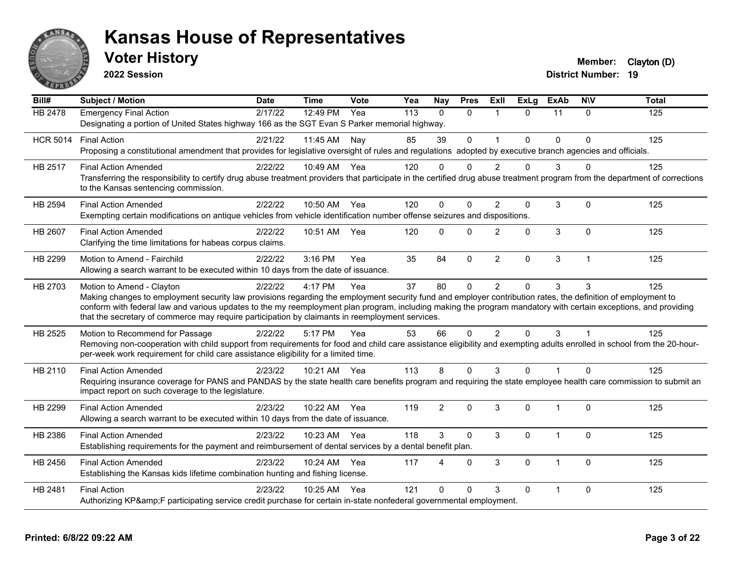

**2022 Session**

**Voter History Member:** Clayton (D)

| Bill#           | <b>Subject / Motion</b>                                                                                                                                                                                                                                                                                                                                                                                                                                         | <b>Date</b> | <b>Time</b>  | Vote | Yea | <b>Nay</b>     | <b>Pres</b>  | ExIl           | <b>ExLg</b> | <b>ExAb</b>    | <b>NIV</b>     | <b>Total</b> |
|-----------------|-----------------------------------------------------------------------------------------------------------------------------------------------------------------------------------------------------------------------------------------------------------------------------------------------------------------------------------------------------------------------------------------------------------------------------------------------------------------|-------------|--------------|------|-----|----------------|--------------|----------------|-------------|----------------|----------------|--------------|
| <b>HB 2478</b>  | <b>Emergency Final Action</b><br>Designating a portion of United States highway 166 as the SGT Evan S Parker memorial highway.                                                                                                                                                                                                                                                                                                                                  | 2/17/22     | 12:49 PM     | Yea  | 113 | $\Omega$       | $\Omega$     | $\mathbf{1}$   | $\Omega$    | 11             | $\Omega$       | 125          |
| <b>HCR 5014</b> | <b>Final Action</b><br>Proposing a constitutional amendment that provides for legislative oversight of rules and regulations adopted by executive branch agencies and officials.                                                                                                                                                                                                                                                                                | 2/21/22     | 11:45 AM     | Nay  | 85  | 39             | $\Omega$     | $\overline{ }$ | 0           | $\Omega$       | $\Omega$       | 125          |
| HB 2517         | <b>Final Action Amended</b><br>Transferring the responsibility to certify drug abuse treatment providers that participate in the certified drug abuse treatment program from the department of corrections<br>to the Kansas sentencing commission.                                                                                                                                                                                                              | 2/22/22     | 10:49 AM Yea |      | 120 | 0              | $\Omega$     | 2              | 0           | 3              | $\Omega$       | 125          |
| HB 2594         | <b>Final Action Amended</b><br>Exempting certain modifications on antique vehicles from vehicle identification number offense seizures and dispositions.                                                                                                                                                                                                                                                                                                        | 2/22/22     | 10:50 AM Yea |      | 120 | $\Omega$       | $\Omega$     | $\overline{2}$ | 0           | 3              | $\mathbf 0$    | 125          |
| HB 2607         | <b>Final Action Amended</b><br>Clarifying the time limitations for habeas corpus claims.                                                                                                                                                                                                                                                                                                                                                                        | 2/22/22     | 10:51 AM     | Yea  | 120 | $\Omega$       | $\Omega$     | $\overline{2}$ | 0           | $\mathbf{3}$   | $\mathbf 0$    | 125          |
| HB 2299         | Motion to Amend - Fairchild<br>Allowing a search warrant to be executed within 10 days from the date of issuance.                                                                                                                                                                                                                                                                                                                                               | 2/22/22     | 3:16 PM      | Yea  | 35  | 84             | $\mathbf{0}$ | 2              | 0           | 3              | $\overline{1}$ | 125          |
| HB 2703         | Motion to Amend - Clayton<br>Making changes to employment security law provisions regarding the employment security fund and employer contribution rates, the definition of employment to<br>conform with federal law and various updates to the my reemployment plan program, including making the program mandatory with certain exceptions, and providing<br>that the secretary of commerce may require participation by claimants in reemployment services. | 2/22/22     | 4:17 PM      | Yea  | 37  | 80             | $\mathbf 0$  | $\overline{2}$ | $\Omega$    | 3              | 3              | 125          |
| HB 2525         | Motion to Recommend for Passage<br>Removing non-cooperation with child support from requirements for food and child care assistance eligibility and exempting adults enrolled in school from the 20-hour-<br>per-week work requirement for child care assistance eligibility for a limited time.                                                                                                                                                                | 2/22/22     | 5:17 PM      | Yea  | 53  | 66             | $\Omega$     | $\overline{2}$ | $\Omega$    | 3              |                | 125          |
| HB 2110         | <b>Final Action Amended</b><br>Requiring insurance coverage for PANS and PANDAS by the state health care benefits program and requiring the state employee health care commission to submit an<br>impact report on such coverage to the legislature.                                                                                                                                                                                                            | 2/23/22     | 10:21 AM Yea |      | 113 | 8              | $\Omega$     | 3              | $\Omega$    | $\overline{1}$ | $\Omega$       | 125          |
| HB 2299         | <b>Final Action Amended</b><br>Allowing a search warrant to be executed within 10 days from the date of issuance.                                                                                                                                                                                                                                                                                                                                               | 2/23/22     | 10:22 AM     | Yea  | 119 | $\overline{2}$ | $\Omega$     | 3              | 0           | 1              | $\mathbf 0$    | 125          |
| HB 2386         | <b>Final Action Amended</b><br>Establishing requirements for the payment and reimbursement of dental services by a dental benefit plan.                                                                                                                                                                                                                                                                                                                         | 2/23/22     | 10:23 AM Yea |      | 118 | 3              | $\Omega$     | 3              | 0           | 1              | $\Omega$       | 125          |
| HB 2456         | <b>Final Action Amended</b><br>Establishing the Kansas kids lifetime combination hunting and fishing license.                                                                                                                                                                                                                                                                                                                                                   | 2/23/22     | 10:24 AM     | Yea  | 117 | 4              | $\mathbf{0}$ | 3              | 0           | 1              | $\Omega$       | 125          |
| HB 2481         | <b>Final Action</b><br>Authorizing KP&F participating service credit purchase for certain in-state nonfederal governmental employment.                                                                                                                                                                                                                                                                                                                          | 2/23/22     | 10:25 AM Yea |      | 121 | $\Omega$       | $\Omega$     | 3              | 0           | $\overline{1}$ | $\Omega$       | 125          |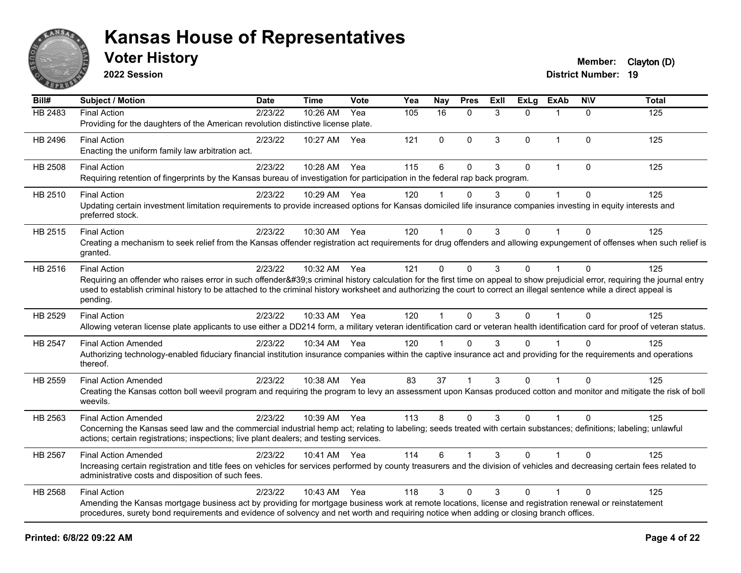

**2022 Session**

**Voter History Member:** Clayton (D)

| Bill#          | Subject / Motion                                                                                                                                                                                                                                                                                                                                                                       | <b>Date</b> | Time         | <b>Vote</b> | Yea | <b>Nay</b>   | <b>Pres</b>  | ExII | <b>ExLg</b> | <b>ExAb</b>  | <b>NIV</b>   | <b>Total</b> |
|----------------|----------------------------------------------------------------------------------------------------------------------------------------------------------------------------------------------------------------------------------------------------------------------------------------------------------------------------------------------------------------------------------------|-------------|--------------|-------------|-----|--------------|--------------|------|-------------|--------------|--------------|--------------|
| HB 2483        | <b>Final Action</b><br>Providing for the daughters of the American revolution distinctive license plate.                                                                                                                                                                                                                                                                               | 2/23/22     | 10:26 AM     | Yea         | 105 | 16           | $\mathbf{0}$ | 3    | $\Omega$    | $\mathbf 1$  | $\Omega$     | 125          |
| HB 2496        | <b>Final Action</b><br>Enacting the uniform family law arbitration act.                                                                                                                                                                                                                                                                                                                | 2/23/22     | 10:27 AM     | Yea         | 121 | $\mathbf{0}$ | $\mathbf 0$  | 3    | $\Omega$    | $\mathbf{1}$ | $\mathbf{0}$ | 125          |
| <b>HB 2508</b> | <b>Final Action</b><br>Requiring retention of fingerprints by the Kansas bureau of investigation for participation in the federal rap back program.                                                                                                                                                                                                                                    | 2/23/22     | 10:28 AM     | Yea         | 115 | 6            | $\mathbf{0}$ | 3    | $\Omega$    | $\mathbf{1}$ | $\Omega$     | 125          |
| HB 2510        | <b>Final Action</b><br>Updating certain investment limitation requirements to provide increased options for Kansas domiciled life insurance companies investing in equity interests and<br>preferred stock.                                                                                                                                                                            | 2/23/22     | 10:29 AM     | Yea         | 120 |              | $\Omega$     | 3    | $\Omega$    |              | $\Omega$     | 125          |
| HB 2515        | <b>Final Action</b><br>Creating a mechanism to seek relief from the Kansas offender registration act requirements for drug offenders and allowing expungement of offenses when such relief is<br>granted.                                                                                                                                                                              | 2/23/22     | 10:30 AM Yea |             | 120 |              | $\mathbf{0}$ | 3    | 0           |              | $\Omega$     | 125          |
| HB 2516        | <b>Final Action</b><br>Requiring an offender who raises error in such offender's criminal history calculation for the first time on appeal to show prejudicial error, requiring the journal entry<br>used to establish criminal history to be attached to the criminal history worksheet and authorizing the court to correct an illegal sentence while a direct appeal is<br>pending. | 2/23/22     | 10:32 AM     | Yea         | 121 | $\Omega$     | $\mathbf{0}$ | 3    | $\Omega$    | 1            | $\mathbf{0}$ | 125          |
| HB 2529        | <b>Final Action</b><br>Allowing veteran license plate applicants to use either a DD214 form, a military veteran identification card or veteran health identification card for proof of veteran status.                                                                                                                                                                                 | 2/23/22     | 10:33 AM Yea |             | 120 | $\mathbf{1}$ | $\Omega$     | 3    | $\Omega$    | $\mathbf{1}$ | $\Omega$     | 125          |
| HB 2547        | <b>Final Action Amended</b><br>Authorizing technology-enabled fiduciary financial institution insurance companies within the captive insurance act and providing for the requirements and operations<br>thereof.                                                                                                                                                                       | 2/23/22     | 10:34 AM Yea |             | 120 |              | $\mathbf{0}$ | 3    | 0           |              | $\Omega$     | 125          |
| HB 2559        | <b>Final Action Amended</b><br>Creating the Kansas cotton boll weevil program and requiring the program to levy an assessment upon Kansas produced cotton and monitor and mitigate the risk of boll<br>weevils.                                                                                                                                                                        | 2/23/22     | 10:38 AM Yea |             | 83  | 37           |              | 3    | $\Omega$    |              | $\Omega$     | 125          |
| HB 2563        | <b>Final Action Amended</b><br>Concerning the Kansas seed law and the commercial industrial hemp act; relating to labeling; seeds treated with certain substances; definitions; labeling; unlawful<br>actions; certain registrations; inspections; live plant dealers; and testing services.                                                                                           | 2/23/22     | 10:39 AM Yea |             | 113 | 8            | $\mathbf 0$  | 3    | $\Omega$    | $\mathbf{1}$ | $\Omega$     | 125          |
| HB 2567        | <b>Final Action Amended</b><br>Increasing certain registration and title fees on vehicles for services performed by county treasurers and the division of vehicles and decreasing certain fees related to<br>administrative costs and disposition of such fees.                                                                                                                        | 2/23/22     | 10:41 AM Yea |             | 114 | 6            |              | 3    | $\Omega$    |              | $\Omega$     | 125          |
| HB 2568        | <b>Final Action</b><br>Amending the Kansas mortgage business act by providing for mortgage business work at remote locations, license and registration renewal or reinstatement<br>procedures, surety bond requirements and evidence of solvency and net worth and requiring notice when adding or closing branch offices.                                                             | 2/23/22     | 10:43 AM     | Yea         | 118 | 3            | $\mathbf{0}$ | 3    | $\Omega$    | $\mathbf{1}$ | $\Omega$     | 125          |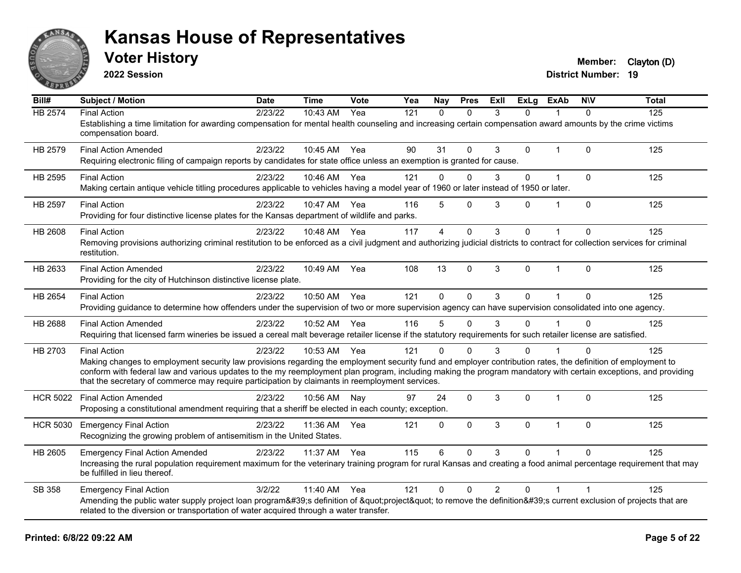

**2022 Session**

**Voter History Member:** Clayton (D)

| Bill#           | <b>Subject / Motion</b>                                                                                                                                                                                                                                            | <b>Date</b> | <b>Time</b>  | <b>Vote</b> | Yea | Nav          | <b>Pres</b>  | ExII           | <b>ExLg</b> | ExAb           | <b>NIV</b>  | <b>Total</b> |
|-----------------|--------------------------------------------------------------------------------------------------------------------------------------------------------------------------------------------------------------------------------------------------------------------|-------------|--------------|-------------|-----|--------------|--------------|----------------|-------------|----------------|-------------|--------------|
| <b>HB 2574</b>  | <b>Final Action</b>                                                                                                                                                                                                                                                | 2/23/22     | 10:43 AM     | Yea         | 121 | $\mathbf{0}$ | $\Omega$     | 3              | $\Omega$    |                | $\Omega$    | 125          |
|                 | Establishing a time limitation for awarding compensation for mental health counseling and increasing certain compensation award amounts by the crime victims<br>compensation board.                                                                                |             |              |             |     |              |              |                |             |                |             |              |
| HB 2579         | <b>Final Action Amended</b>                                                                                                                                                                                                                                        | 2/23/22     | 10:45 AM Yea |             | 90  | 31           | $\Omega$     | 3              | 0           | $\mathbf{1}$   | $\Omega$    | 125          |
|                 | Requiring electronic filing of campaign reports by candidates for state office unless an exemption is granted for cause.                                                                                                                                           |             |              |             |     |              |              |                |             |                |             |              |
| HB 2595         | <b>Final Action</b>                                                                                                                                                                                                                                                | 2/23/22     | 10:46 AM     | Yea         | 121 | $\mathbf 0$  | $\mathbf{0}$ | 3              | 0           | $\mathbf{1}$   | $\mathbf 0$ | 125          |
|                 | Making certain antique vehicle titling procedures applicable to vehicles having a model year of 1960 or later instead of 1950 or later.                                                                                                                            |             |              |             |     |              |              |                |             |                |             |              |
| <b>HB 2597</b>  | <b>Final Action</b>                                                                                                                                                                                                                                                | 2/23/22     | 10:47 AM     | Yea         | 116 | 5            | $\Omega$     | 3              | 0           | $\overline{1}$ | $\Omega$    | 125          |
|                 | Providing for four distinctive license plates for the Kansas department of wildlife and parks.                                                                                                                                                                     |             |              |             |     |              |              |                |             |                |             |              |
| <b>HB 2608</b>  | <b>Final Action</b>                                                                                                                                                                                                                                                | 2/23/22     | 10:48 AM     | Yea         | 117 | 4            | $\mathbf{0}$ | 3              | 0           |                | $\mathbf 0$ | 125          |
|                 | Removing provisions authorizing criminal restitution to be enforced as a civil judgment and authorizing judicial districts to contract for collection services for criminal<br>restitution.                                                                        |             |              |             |     |              |              |                |             |                |             |              |
| HB 2633         | <b>Final Action Amended</b>                                                                                                                                                                                                                                        | 2/23/22     | 10:49 AM     | Yea         | 108 | 13           | $\mathbf{0}$ | 3              | 0           | $\mathbf{1}$   | $\mathbf 0$ | 125          |
|                 | Providing for the city of Hutchinson distinctive license plate.                                                                                                                                                                                                    |             |              |             |     |              |              |                |             |                |             |              |
| HB 2654         | <b>Final Action</b>                                                                                                                                                                                                                                                | 2/23/22     | 10:50 AM     | Yea         | 121 | $\Omega$     | $\Omega$     | 3              | 0           |                | $\Omega$    | 125          |
|                 | Providing guidance to determine how offenders under the supervision of two or more supervision agency can have supervision consolidated into one agency.                                                                                                           |             |              |             |     |              |              |                |             |                |             |              |
| <b>HB 2688</b>  | <b>Final Action Amended</b>                                                                                                                                                                                                                                        | 2/23/22     | 10:52 AM     | Yea         | 116 | 5            | $\Omega$     | 3              | 0           |                | $\Omega$    | 125          |
|                 | Requiring that licensed farm wineries be issued a cereal malt beverage retailer license if the statutory requirements for such retailer license are satisfied.                                                                                                     |             |              |             |     |              |              |                |             |                |             |              |
| HB 2703         | <b>Final Action</b>                                                                                                                                                                                                                                                | 2/23/22     | 10:53 AM Yea |             | 121 | $\Omega$     | ∩            | 3              | 0           |                | ∩           | 125          |
|                 | Making changes to employment security law provisions regarding the employment security fund and employer contribution rates, the definition of employment to                                                                                                       |             |              |             |     |              |              |                |             |                |             |              |
|                 | conform with federal law and various updates to the my reemployment plan program, including making the program mandatory with certain exceptions, and providing<br>that the secretary of commerce may require participation by claimants in reemployment services. |             |              |             |     |              |              |                |             |                |             |              |
| <b>HCR 5022</b> | <b>Final Action Amended</b>                                                                                                                                                                                                                                        | 2/23/22     | 10:56 AM     | Nav         | 97  | 24           | $\mathbf{0}$ | 3              | 0           | $\mathbf{1}$   | $\Omega$    | 125          |
|                 | Proposing a constitutional amendment requiring that a sheriff be elected in each county; exception.                                                                                                                                                                |             |              |             |     |              |              |                |             |                |             |              |
|                 |                                                                                                                                                                                                                                                                    | 2/23/22     | 11:36 AM     | Yea         | 121 | $\mathbf{0}$ | $\mathbf{0}$ | 3              | 0           | $\mathbf{1}$   | $\mathbf 0$ | 125          |
| <b>HCR 5030</b> | <b>Emergency Final Action</b><br>Recognizing the growing problem of antisemitism in the United States.                                                                                                                                                             |             |              |             |     |              |              |                |             |                |             |              |
|                 |                                                                                                                                                                                                                                                                    |             |              |             |     |              |              |                |             |                |             |              |
| HB 2605         | <b>Emergency Final Action Amended</b><br>Increasing the rural population requirement maximum for the veterinary training program for rural Kansas and creating a food animal percentage requirement that may                                                       | 2/23/22     | 11:37 AM     | Yea         | 115 | 6            | $\Omega$     | 3              | $\Omega$    |                | $\Omega$    | 125          |
|                 | be fulfilled in lieu thereof.                                                                                                                                                                                                                                      |             |              |             |     |              |              |                |             |                |             |              |
| SB 358          | <b>Emergency Final Action</b>                                                                                                                                                                                                                                      | 3/2/22      | 11:40 AM     | Yea         | 121 | $\Omega$     | $\mathbf{0}$ | $\overline{2}$ | $\Omega$    | $\mathbf{1}$   |             | 125          |
|                 | Amending the public water supply project loan program's definition of "project" to remove the definition's current exclusion of projects that are                                                                                                                  |             |              |             |     |              |              |                |             |                |             |              |
|                 | related to the diversion or transportation of water acquired through a water transfer.                                                                                                                                                                             |             |              |             |     |              |              |                |             |                |             |              |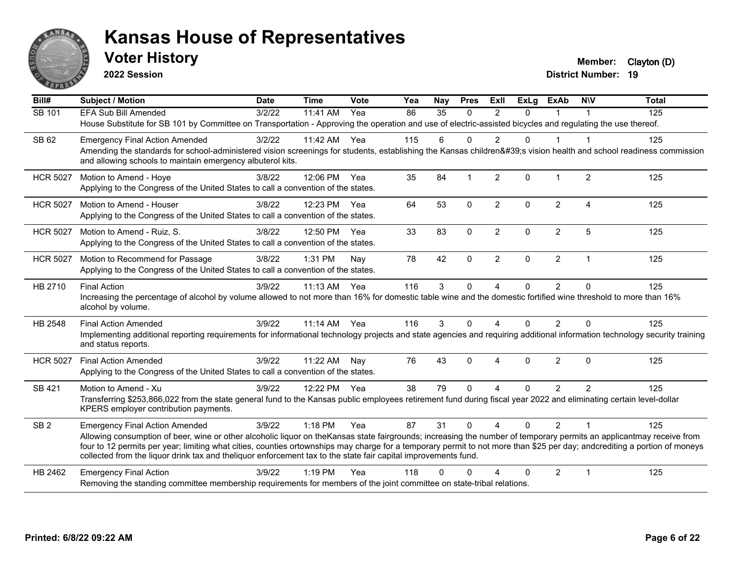

**2022 Session**

**Voter History Member:** Clayton (D)

| $\overline{BiII#}$ | <b>Subject / Motion</b>                                                                                                                                                                                                                                                                     | <b>Date</b> | <b>Time</b>  | Vote | Yea | Nay    | <b>Pres</b>  | Exll           | <b>ExLg</b>  | <b>ExAb</b>    | <b>NIV</b>     | <b>Total</b> |
|--------------------|---------------------------------------------------------------------------------------------------------------------------------------------------------------------------------------------------------------------------------------------------------------------------------------------|-------------|--------------|------|-----|--------|--------------|----------------|--------------|----------------|----------------|--------------|
| SB 101             | <b>EFA Sub Bill Amended</b>                                                                                                                                                                                                                                                                 | 3/2/22      | 11:41 AM     | Yea  | 86  | 35     | $\mathbf{0}$ | $\overline{2}$ | $\Omega$     |                |                | 125          |
|                    | House Substitute for SB 101 by Committee on Transportation - Approving the operation and use of electric-assisted bicycles and regulating the use thereof.                                                                                                                                  |             |              |      |     |        |              |                |              |                |                |              |
| SB 62              | <b>Emergency Final Action Amended</b>                                                                                                                                                                                                                                                       | 3/2/22      | 11:42 AM Yea |      | 115 | 6      | $\Omega$     | $\overline{2}$ | $\mathbf 0$  |                | 1              | 125          |
|                    | Amending the standards for school-administered vision screenings for students, establishing the Kansas children's vision health and school readiness commission                                                                                                                             |             |              |      |     |        |              |                |              |                |                |              |
|                    | and allowing schools to maintain emergency albuterol kits.                                                                                                                                                                                                                                  |             |              |      |     |        |              |                |              |                |                |              |
| <b>HCR 5027</b>    | Motion to Amend - Hoye                                                                                                                                                                                                                                                                      | 3/8/22      | 12:06 PM Yea |      | 35  | 84     |              | $\overline{2}$ | $\Omega$     |                | $\overline{2}$ | 125          |
|                    | Applying to the Congress of the United States to call a convention of the states.                                                                                                                                                                                                           |             |              |      |     |        |              |                |              |                |                |              |
| <b>HCR 5027</b>    | Motion to Amend - Houser                                                                                                                                                                                                                                                                    | 3/8/22      | 12:23 PM     | Yea  | 64  | 53     | $\mathbf 0$  | $\overline{2}$ | $\mathbf{0}$ | $\overline{2}$ | 4              | 125          |
|                    | Applying to the Congress of the United States to call a convention of the states.                                                                                                                                                                                                           |             |              |      |     |        |              |                |              |                |                |              |
| <b>HCR 5027</b>    | Motion to Amend - Ruiz, S.                                                                                                                                                                                                                                                                  | 3/8/22      | 12:50 PM Yea |      | 33  | 83     | $\mathbf 0$  | $\overline{2}$ | $\mathbf 0$  | $\overline{c}$ | 5              | 125          |
|                    | Applying to the Congress of the United States to call a convention of the states.                                                                                                                                                                                                           |             |              |      |     |        |              |                |              |                |                |              |
| <b>HCR 5027</b>    | Motion to Recommend for Passage                                                                                                                                                                                                                                                             | 3/8/22      | 1:31 PM      | Nay  | 78  | 42     | $\Omega$     | $\overline{2}$ | $\Omega$     | $\overline{2}$ | $\mathbf{1}$   | 125          |
|                    | Applying to the Congress of the United States to call a convention of the states.                                                                                                                                                                                                           |             |              |      |     |        |              |                |              |                |                |              |
| HB 2710            | <b>Final Action</b>                                                                                                                                                                                                                                                                         | 3/9/22      | 11:13 AM     | Yea  | 116 | 3      | $\Omega$     | 4              | 0            | $\overline{2}$ | $\Omega$       | 125          |
|                    | Increasing the percentage of alcohol by volume allowed to not more than 16% for domestic table wine and the domestic fortified wine threshold to more than 16%                                                                                                                              |             |              |      |     |        |              |                |              |                |                |              |
|                    | alcohol by volume.                                                                                                                                                                                                                                                                          |             |              |      |     |        |              |                |              |                |                |              |
| HB 2548            | <b>Final Action Amended</b>                                                                                                                                                                                                                                                                 | 3/9/22      | 11:14 AM     | Yea  | 116 | 3      | $\Omega$     | 4              | 0            | $\overline{2}$ | $\Omega$       | 125          |
|                    | Implementing additional reporting requirements for informational technology projects and state agencies and requiring additional information technology security training<br>and status reports.                                                                                            |             |              |      |     |        |              |                |              |                |                |              |
| <b>HCR 5027</b>    | <b>Final Action Amended</b>                                                                                                                                                                                                                                                                 | 3/9/22      | 11:22 AM     | Nay  | 76  | 43     | $\mathbf{0}$ | 4              | $\Omega$     | $\overline{2}$ | $\Omega$       | 125          |
|                    | Applying to the Congress of the United States to call a convention of the states.                                                                                                                                                                                                           |             |              |      |     |        |              |                |              |                |                |              |
| SB 421             | Motion to Amend - Xu                                                                                                                                                                                                                                                                        | 3/9/22      | 12:22 PM Yea |      | 38  | 79     | $\Omega$     | 4              | $\Omega$     | 2              | $\overline{2}$ | 125          |
|                    | Transferring \$253,866,022 from the state general fund to the Kansas public employees retirement fund during fiscal year 2022 and eliminating certain level-dollar                                                                                                                          |             |              |      |     |        |              |                |              |                |                |              |
|                    | KPERS employer contribution payments.                                                                                                                                                                                                                                                       |             |              |      |     |        |              |                |              |                |                |              |
| SB <sub>2</sub>    | <b>Emergency Final Action Amended</b>                                                                                                                                                                                                                                                       | 3/9/22      | 1:18 PM      | Yea  | 87  | 31     | $\mathbf{0}$ | $\overline{4}$ | $\Omega$     | 2              | $\overline{1}$ | 125          |
|                    | Allowing consumption of beer, wine or other alcoholic liquor on theKansas state fairgrounds; increasing the number of temporary permits an applicantmay receive from                                                                                                                        |             |              |      |     |        |              |                |              |                |                |              |
|                    | four to 12 permits per year; limiting what cities, counties ortownships may charge for a temporary permit to not more than \$25 per day; andcrediting a portion of moneys<br>collected from the liquor drink tax and theliquor enforcement tax to the state fair capital improvements fund. |             |              |      |     |        |              |                |              |                |                |              |
| HB 2462            | <b>Emergency Final Action</b>                                                                                                                                                                                                                                                               | 3/9/22      | $1:19$ PM    | Yea  | 118 | $\cap$ | $\Omega$     | Δ              | 0            | $\overline{2}$ | $\overline{1}$ | 125          |
|                    | Removing the standing committee membership requirements for members of the joint committee on state-tribal relations.                                                                                                                                                                       |             |              |      |     |        |              |                |              |                |                |              |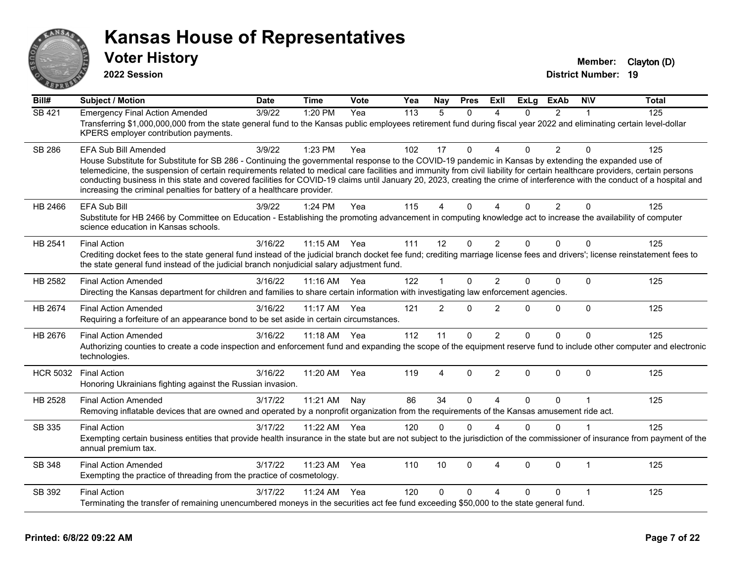

**2022 Session**

**Voter History Member:** Clayton (D)

| Bill#           | <b>Subject / Motion</b>                                                                                                                                                                                                                                                                                                                                                                                                                                                                                                                                                                                               | <b>Date</b> | <b>Time</b>  | Vote  | Yea | Nay            | <b>Pres</b>  | ExII                   | <b>ExLg</b> | <b>ExAb</b>    | <b>NIV</b>   | <b>Total</b> |
|-----------------|-----------------------------------------------------------------------------------------------------------------------------------------------------------------------------------------------------------------------------------------------------------------------------------------------------------------------------------------------------------------------------------------------------------------------------------------------------------------------------------------------------------------------------------------------------------------------------------------------------------------------|-------------|--------------|-------|-----|----------------|--------------|------------------------|-------------|----------------|--------------|--------------|
| SB 421          | <b>Emergency Final Action Amended</b><br>Transferring \$1,000,000,000 from the state general fund to the Kansas public employees retirement fund during fiscal year 2022 and eliminating certain level-dollar<br>KPERS employer contribution payments.                                                                                                                                                                                                                                                                                                                                                                | 3/9/22      | 1:20 PM      | Yea   | 113 | $\overline{5}$ | $\Omega$     | $\boldsymbol{\Lambda}$ | $\Omega$    | $\overline{2}$ | 1            | 125          |
| <b>SB 286</b>   | EFA Sub Bill Amended<br>House Substitute for Substitute for SB 286 - Continuing the governmental response to the COVID-19 pandemic in Kansas by extending the expanded use of<br>telemedicine, the suspension of certain requirements related to medical care facilities and immunity from civil liability for certain healthcare providers, certain persons<br>conducting business in this state and covered facilities for COVID-19 claims until January 20, 2023, creating the crime of interference with the conduct of a hospital and<br>increasing the criminal penalties for battery of a healthcare provider. | 3/9/22      | 1:23 PM      | Yea   | 102 | 17             | $\Omega$     | Δ                      | $\Omega$    | $\overline{2}$ | $\Omega$     | 125          |
| HB 2466         | <b>EFA Sub Bill</b><br>Substitute for HB 2466 by Committee on Education - Establishing the promoting advancement in computing knowledge act to increase the availability of computer<br>science education in Kansas schools.                                                                                                                                                                                                                                                                                                                                                                                          | 3/9/22      | 1:24 PM      | Yea   | 115 | 4              | $\Omega$     | $\Delta$               | $\Omega$    | $\overline{2}$ | $\Omega$     | 125          |
| HB 2541         | <b>Final Action</b><br>Crediting docket fees to the state general fund instead of the judicial branch docket fee fund; crediting marriage license fees and drivers'; license reinstatement fees to<br>the state general fund instead of the judicial branch nonjudicial salary adjustment fund.                                                                                                                                                                                                                                                                                                                       | 3/16/22     | 11:15 AM Yea |       | 111 | 12             | $\mathbf 0$  | $\overline{2}$         | $\Omega$    | $\Omega$       | $\Omega$     | 125          |
| HB 2582         | <b>Final Action Amended</b><br>Directing the Kansas department for children and families to share certain information with investigating law enforcement agencies.                                                                                                                                                                                                                                                                                                                                                                                                                                                    | 3/16/22     | $11:16$ AM   | - Yea | 122 | 1              | $\Omega$     | $\overline{2}$         | $\Omega$    | $\Omega$       | $\Omega$     | 125          |
| HB 2674         | <b>Final Action Amended</b><br>Requiring a forfeiture of an appearance bond to be set aside in certain circumstances.                                                                                                                                                                                                                                                                                                                                                                                                                                                                                                 | 3/16/22     | 11:17 AM     | Yea   | 121 | $\overline{2}$ | $\mathbf{0}$ | $\overline{2}$         | $\Omega$    | $\Omega$       | $\Omega$     | 125          |
| HB 2676         | <b>Final Action Amended</b><br>Authorizing counties to create a code inspection and enforcement fund and expanding the scope of the equipment reserve fund to include other computer and electronic<br>technologies.                                                                                                                                                                                                                                                                                                                                                                                                  | 3/16/22     | 11:18 AM Yea |       | 112 | 11             | 0            | $\overline{2}$         | $\Omega$    | $\Omega$       | $\mathbf{0}$ | 125          |
| <b>HCR 5032</b> | <b>Final Action</b><br>Honoring Ukrainians fighting against the Russian invasion.                                                                                                                                                                                                                                                                                                                                                                                                                                                                                                                                     | 3/16/22     | 11:20 AM     | Yea   | 119 | 4              | $\Omega$     | 2                      | $\Omega$    | $\Omega$       | $\Omega$     | 125          |
| HB 2528         | <b>Final Action Amended</b><br>Removing inflatable devices that are owned and operated by a nonprofit organization from the requirements of the Kansas amusement ride act.                                                                                                                                                                                                                                                                                                                                                                                                                                            | 3/17/22     | 11:21 AM     | Nay   | 86  | 34             | $\mathbf{0}$ | $\boldsymbol{\Lambda}$ | $\Omega$    | $\Omega$       | 1            | 125          |
| SB 335          | <b>Final Action</b><br>Exempting certain business entities that provide health insurance in the state but are not subject to the jurisdiction of the commissioner of insurance from payment of the<br>annual premium tax.                                                                                                                                                                                                                                                                                                                                                                                             | 3/17/22     | 11:22 AM     | Yea   | 120 | 0              | $\mathbf{0}$ | $\Delta$               | $\Omega$    | $\Omega$       | 1            | 125          |
| SB 348          | <b>Final Action Amended</b><br>Exempting the practice of threading from the practice of cosmetology.                                                                                                                                                                                                                                                                                                                                                                                                                                                                                                                  | 3/17/22     | 11:23 AM     | Yea   | 110 | 10             | $\Omega$     | 4                      | $\Omega$    | $\Omega$       | $\mathbf{1}$ | 125          |
| SB 392          | <b>Final Action</b><br>Terminating the transfer of remaining unencumbered moneys in the securities act fee fund exceeding \$50,000 to the state general fund.                                                                                                                                                                                                                                                                                                                                                                                                                                                         | 3/17/22     | 11:24 AM     | Yea   | 120 | 0              | $\Omega$     | 4                      | $\Omega$    | 0              | 1            | 125          |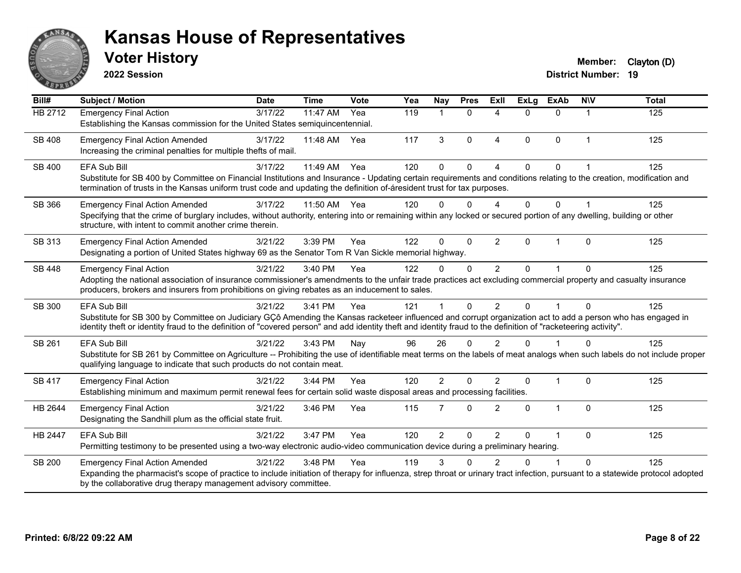

**2022 Session**

**Voter History Member:** Clayton (D)

| Bill#          | <b>Subject / Motion</b>                                                                                                                                                                                                                                                                                                                               | <b>Date</b> | <b>Time</b>           | <b>Vote</b> | Yea | <b>Nay</b>           | <b>Pres</b>  | <b>ExII</b>              | <b>ExLg</b>  | <b>ExAb</b>  | <b>NIV</b>     | <b>Total</b> |
|----------------|-------------------------------------------------------------------------------------------------------------------------------------------------------------------------------------------------------------------------------------------------------------------------------------------------------------------------------------------------------|-------------|-----------------------|-------------|-----|----------------------|--------------|--------------------------|--------------|--------------|----------------|--------------|
| <b>HB 2712</b> | <b>Emergency Final Action</b><br>Establishing the Kansas commission for the United States semiquincentennial.                                                                                                                                                                                                                                         | 3/17/22     | $\overline{11:}47$ AM | Yea         | 119 | $\blacktriangleleft$ | $\Omega$     | $\Delta$                 | $\Omega$     | $\Omega$     | $\overline{1}$ | 125          |
| <b>SB 408</b>  | <b>Emergency Final Action Amended</b><br>Increasing the criminal penalties for multiple thefts of mail.                                                                                                                                                                                                                                               | 3/17/22     | 11:48 AM              | Yea         | 117 | 3                    | $\Omega$     | $\overline{4}$           | $\mathbf{0}$ | $\mathbf 0$  | $\overline{1}$ | 125          |
| SB 400         | EFA Sub Bill<br>Substitute for SB 400 by Committee on Financial Institutions and Insurance - Updating certain requirements and conditions relating to the creation, modification and<br>termination of trusts in the Kansas uniform trust code and updating the definition of-áresident trust for tax purposes.                                       | 3/17/22     | 11:49 AM              | Yea         | 120 | $\mathbf{0}$         | $\Omega$     | $\boldsymbol{\Lambda}$   | $\Omega$     | $\Omega$     |                | 125          |
| SB 366         | <b>Emergency Final Action Amended</b><br>Specifying that the crime of burglary includes, without authority, entering into or remaining within any locked or secured portion of any dwelling, building or other<br>structure, with intent to commit another crime therein.                                                                             | 3/17/22     | 11:50 AM              | Yea         | 120 | $\Omega$             | $\Omega$     | $\boldsymbol{\varDelta}$ | $\Omega$     | $\Omega$     |                | 125          |
| SB 313         | <b>Emergency Final Action Amended</b><br>Designating a portion of United States highway 69 as the Senator Tom R Van Sickle memorial highway.                                                                                                                                                                                                          | 3/21/22     | 3:39 PM               | Yea         | 122 | $\Omega$             | $\mathbf 0$  | $\overline{2}$           | $\Omega$     | $\mathbf{1}$ | $\Omega$       | 125          |
| <b>SB 448</b>  | <b>Emergency Final Action</b><br>Adopting the national association of insurance commissioner's amendments to the unfair trade practices act excluding commercial property and casualty insurance<br>producers, brokers and insurers from prohibitions on giving rebates as an inducement to sales.                                                    | 3/21/22     | 3:40 PM               | Yea         | 122 | $\Omega$             | $\mathbf{0}$ | $\overline{2}$           | $\Omega$     |              | $\Omega$       | 125          |
| SB 300         | <b>EFA Sub Bill</b><br>Substitute for SB 300 by Committee on Judiciary GÇô Amending the Kansas racketeer influenced and corrupt organization act to add a person who has engaged in<br>identity theft or identity fraud to the definition of "covered person" and add identity theft and identity fraud to the definition of "racketeering activity". | 3/21/22     | 3:41 PM               | Yea         | 121 |                      | $\Omega$     | $\mathfrak{p}$           | $\Omega$     | 1            | $\Omega$       | 125          |
| SB 261         | <b>EFA Sub Bill</b><br>Substitute for SB 261 by Committee on Agriculture -- Prohibiting the use of identifiable meat terms on the labels of meat analogs when such labels do not include proper<br>qualifying language to indicate that such products do not contain meat.                                                                            | 3/21/22     | 3:43 PM               | Nay         | 96  | 26                   | $\Omega$     | $\mathcal{P}$            | $\Omega$     |              | $\Omega$       | 125          |
| <b>SB 417</b>  | <b>Emergency Final Action</b><br>Establishing minimum and maximum permit renewal fees for certain solid waste disposal areas and processing facilities.                                                                                                                                                                                               | 3/21/22     | 3:44 PM               | Yea         | 120 | $\overline{2}$       | $\Omega$     | $\overline{2}$           | $\Omega$     | $\mathbf{1}$ | $\mathbf{0}$   | 125          |
| HB 2644        | <b>Emergency Final Action</b><br>Designating the Sandhill plum as the official state fruit.                                                                                                                                                                                                                                                           | 3/21/22     | 3:46 PM               | Yea         | 115 | $\overline{7}$       | $\Omega$     | 2                        | $\Omega$     | $\mathbf{1}$ | $\Omega$       | 125          |
| HB 2447        | <b>EFA Sub Bill</b><br>Permitting testimony to be presented using a two-way electronic audio-video communication device during a preliminary hearing.                                                                                                                                                                                                 | 3/21/22     | 3:47 PM               | Yea         | 120 | $\overline{2}$       | $\mathbf{0}$ | $\overline{2}$           | 0            | 1            | $\Omega$       | 125          |
| <b>SB 200</b>  | <b>Emergency Final Action Amended</b><br>Expanding the pharmacist's scope of practice to include initiation of therapy for influenza, strep throat or urinary tract infection, pursuant to a statewide protocol adopted<br>by the collaborative drug therapy management advisory committee.                                                           | 3/21/22     | 3:48 PM               | Yea         | 119 | 3                    | ∩            | $\mathcal{P}$            | U            |              | $\Omega$       | 125          |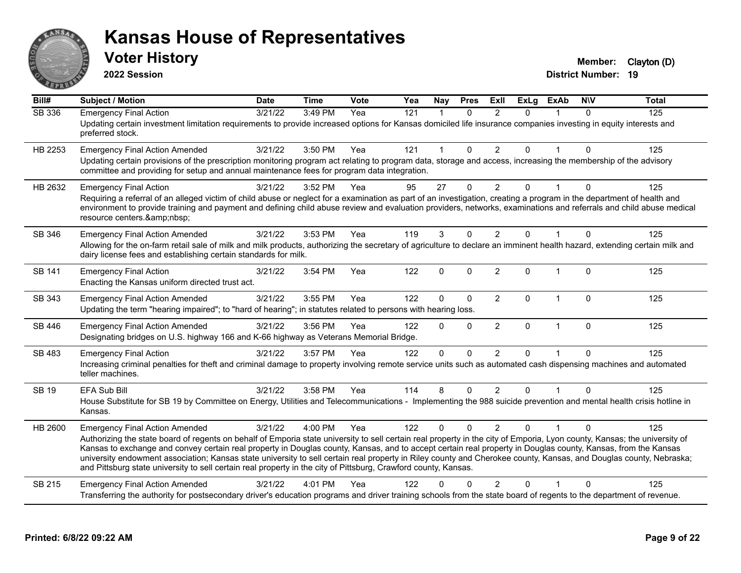

**2022 Session**

**District Number: 19 Voter History Member:** Clayton (D)

| Bill#         | <b>Subject / Motion</b>                                                                                                                                                                                                                                                                                                                                                                                                                                                                                                                                                                                                                                                      | <b>Date</b> | <b>Time</b> | Vote | Yea | <b>Nay</b>   | <b>Pres</b>  | <b>Exll</b>    | <b>ExLg</b> | <b>ExAb</b>  | <b>NIV</b>   | <b>Total</b> |
|---------------|------------------------------------------------------------------------------------------------------------------------------------------------------------------------------------------------------------------------------------------------------------------------------------------------------------------------------------------------------------------------------------------------------------------------------------------------------------------------------------------------------------------------------------------------------------------------------------------------------------------------------------------------------------------------------|-------------|-------------|------|-----|--------------|--------------|----------------|-------------|--------------|--------------|--------------|
| SB 336        | <b>Emergency Final Action</b><br>Updating certain investment limitation requirements to provide increased options for Kansas domiciled life insurance companies investing in equity interests and<br>preferred stock.                                                                                                                                                                                                                                                                                                                                                                                                                                                        | 3/21/22     | 3:49 PM     | Yea  | 121 | $\mathbf{1}$ | $\Omega$     | $\mathfrak{p}$ | $\Omega$    |              | $\Omega$     | 125          |
| HB 2253       | <b>Emergency Final Action Amended</b><br>Updating certain provisions of the prescription monitoring program act relating to program data, storage and access, increasing the membership of the advisory<br>committee and providing for setup and annual maintenance fees for program data integration.                                                                                                                                                                                                                                                                                                                                                                       | 3/21/22     | 3:50 PM     | Yea  | 121 | 1            | $\mathbf{0}$ | $\overline{2}$ | $\Omega$    |              | $\mathbf{0}$ | 125          |
| HB 2632       | <b>Emergency Final Action</b><br>Requiring a referral of an alleged victim of child abuse or neglect for a examination as part of an investigation, creating a program in the department of health and<br>environment to provide training and payment and defining child abuse review and evaluation providers, networks, examinations and referrals and child abuse medical<br>resource centers.                                                                                                                                                                                                                                                                            | 3/21/22     | 3:52 PM     | Yea  | 95  | 27           | $\mathbf{0}$ | $\overline{2}$ | $\Omega$    |              | $\Omega$     | 125          |
| SB 346        | <b>Emergency Final Action Amended</b><br>Allowing for the on-farm retail sale of milk and milk products, authorizing the secretary of agriculture to declare an imminent health hazard, extending certain milk and<br>dairy license fees and establishing certain standards for milk.                                                                                                                                                                                                                                                                                                                                                                                        | 3/21/22     | 3:53 PM     | Yea  | 119 | 3            | $\Omega$     | 2              | $\Omega$    |              | $\Omega$     | 125          |
| SB 141        | <b>Emergency Final Action</b><br>Enacting the Kansas uniform directed trust act.                                                                                                                                                                                                                                                                                                                                                                                                                                                                                                                                                                                             | 3/21/22     | 3:54 PM     | Yea  | 122 | 0            | $\Omega$     | $\overline{2}$ | $\Omega$    | $\mathbf 1$  | $\mathbf 0$  | 125          |
| SB 343        | <b>Emergency Final Action Amended</b><br>Updating the term "hearing impaired"; to "hard of hearing"; in statutes related to persons with hearing loss.                                                                                                                                                                                                                                                                                                                                                                                                                                                                                                                       | 3/21/22     | 3:55 PM     | Yea  | 122 | 0            | $\Omega$     | $\overline{2}$ | 0           | $\mathbf{1}$ | $\mathbf 0$  | 125          |
| <b>SB 446</b> | <b>Emergency Final Action Amended</b><br>Designating bridges on U.S. highway 166 and K-66 highway as Veterans Memorial Bridge.                                                                                                                                                                                                                                                                                                                                                                                                                                                                                                                                               | 3/21/22     | 3:56 PM     | Yea  | 122 | $\Omega$     | $\Omega$     | $\overline{2}$ | $\Omega$    | $\mathbf{1}$ | $\mathbf 0$  | 125          |
| <b>SB 483</b> | <b>Emergency Final Action</b><br>Increasing criminal penalties for theft and criminal damage to property involving remote service units such as automated cash dispensing machines and automated<br>teller machines.                                                                                                                                                                                                                                                                                                                                                                                                                                                         | 3/21/22     | 3:57 PM     | Yea  | 122 | $\mathbf{0}$ | $\mathbf{0}$ | 2              | $\Omega$    |              | $\Omega$     | 125          |
| <b>SB 19</b>  | <b>EFA Sub Bill</b><br>House Substitute for SB 19 by Committee on Energy, Utilities and Telecommunications - Implementing the 988 suicide prevention and mental health crisis hotline in<br>Kansas.                                                                                                                                                                                                                                                                                                                                                                                                                                                                          | 3/21/22     | 3:58 PM     | Yea  | 114 | 8            | $\Omega$     | $\overline{2}$ | $\Omega$    |              | $\Omega$     | 125          |
| HB 2600       | <b>Emergency Final Action Amended</b><br>Authorizing the state board of regents on behalf of Emporia state university to sell certain real property in the city of Emporia, Lyon county, Kansas; the university of<br>Kansas to exchange and convey certain real property in Douglas county, Kansas, and to accept certain real property in Douglas county, Kansas, from the Kansas<br>university endowment association; Kansas state university to sell certain real property in Riley county and Cherokee county, Kansas, and Douglas county, Nebraska;<br>and Pittsburg state university to sell certain real property in the city of Pittsburg, Crawford county, Kansas. | 3/21/22     | 4:00 PM     | Yea  | 122 | $\Omega$     | $\Omega$     | 2              | $\Omega$    |              | $\Omega$     | 125          |
| SB 215        | <b>Emergency Final Action Amended</b><br>Transferring the authority for postsecondary driver's education programs and driver training schools from the state board of regents to the department of revenue.                                                                                                                                                                                                                                                                                                                                                                                                                                                                  | 3/21/22     | 4:01 PM     | Yea  | 122 | U            |              | $\overline{2}$ | 0           |              | $\Omega$     | 125          |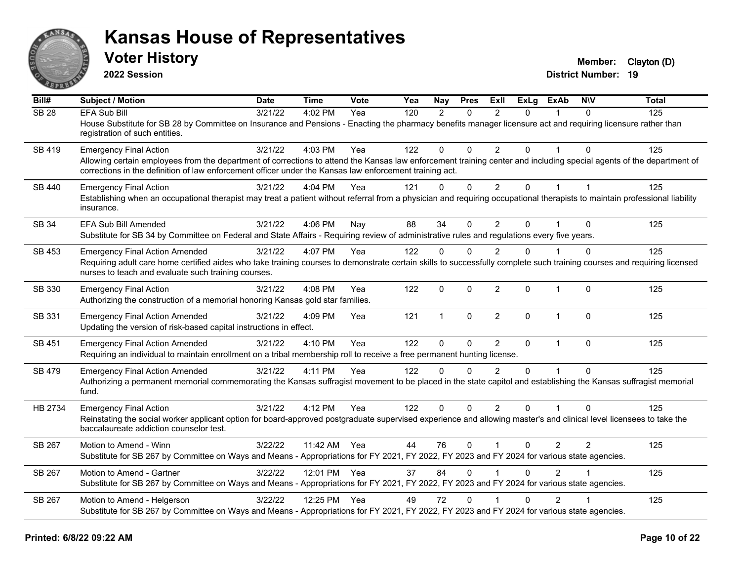

**2022 Session**

**Voter History Member:** Clayton (D)

| Bill#            | Subject / Motion                                                                                                                                                                                                                                                                | <b>Date</b> | <b>Time</b>  | <b>Vote</b> | Yea | Nay           | <b>Pres</b> | ExII           | <b>ExLg</b>  | <b>ExAb</b>    | <b>NIV</b>     | <b>Total</b> |
|------------------|---------------------------------------------------------------------------------------------------------------------------------------------------------------------------------------------------------------------------------------------------------------------------------|-------------|--------------|-------------|-----|---------------|-------------|----------------|--------------|----------------|----------------|--------------|
| SB <sub>28</sub> | <b>EFA Sub Bill</b>                                                                                                                                                                                                                                                             | 3/21/22     | 4:02 PM      | Yea         | 120 | $\mathcal{P}$ | $\Omega$    | $\mathcal{P}$  | $\Omega$     | 1              | $\Omega$       | 125          |
|                  | House Substitute for SB 28 by Committee on Insurance and Pensions - Enacting the pharmacy benefits manager licensure act and requiring licensure rather than<br>registration of such entities.                                                                                  |             |              |             |     |               |             |                |              |                |                |              |
| SB 419           | <b>Emergency Final Action</b>                                                                                                                                                                                                                                                   | 3/21/22     | 4:03 PM      | Yea         | 122 | $\Omega$      | $\Omega$    | $\overline{2}$ | $\Omega$     | $\mathbf{1}$   | $\Omega$       | 125          |
|                  | Allowing certain employees from the department of corrections to attend the Kansas law enforcement training center and including special agents of the department of<br>corrections in the definition of law enforcement officer under the Kansas law enforcement training act. |             |              |             |     |               |             |                |              |                |                |              |
| SB 440           | <b>Emergency Final Action</b>                                                                                                                                                                                                                                                   | 3/21/22     | 4:04 PM      | Yea         | 121 | 0             | $\mathbf 0$ | $\overline{2}$ | 0            | $\mathbf{1}$   | $\overline{1}$ | 125          |
|                  | Establishing when an occupational therapist may treat a patient without referral from a physician and requiring occupational therapists to maintain professional liability<br>insurance.                                                                                        |             |              |             |     |               |             |                |              |                |                |              |
| <b>SB 34</b>     | EFA Sub Bill Amended                                                                                                                                                                                                                                                            | 3/21/22     | 4:06 PM      | Nav         | 88  | 34            | $\Omega$    | $\overline{2}$ | $\Omega$     |                | $\Omega$       | 125          |
|                  | Substitute for SB 34 by Committee on Federal and State Affairs - Requiring review of administrative rules and regulations every five years.                                                                                                                                     |             |              |             |     |               |             |                |              |                |                |              |
| SB 453           | <b>Emergency Final Action Amended</b>                                                                                                                                                                                                                                           | 3/21/22     | 4:07 PM      | Yea         | 122 | $\Omega$      | $\Omega$    | $\overline{2}$ | $\mathbf{0}$ |                | $\Omega$       | 125          |
|                  | Requiring adult care home certified aides who take training courses to demonstrate certain skills to successfully complete such training courses and requiring licensed<br>nurses to teach and evaluate such training courses.                                                  |             |              |             |     |               |             |                |              |                |                |              |
| SB 330           | <b>Emergency Final Action</b>                                                                                                                                                                                                                                                   | 3/21/22     | 4:08 PM      | Yea         | 122 | $\mathbf 0$   | 0           | $\overline{2}$ | 0            | $\mathbf{1}$   | $\mathbf{0}$   | 125          |
|                  | Authorizing the construction of a memorial honoring Kansas gold star families.                                                                                                                                                                                                  |             |              |             |     |               |             |                |              |                |                |              |
| SB 331           | <b>Emergency Final Action Amended</b><br>Updating the version of risk-based capital instructions in effect.                                                                                                                                                                     | 3/21/22     | $4:09$ PM    | Yea         | 121 | $\mathbf{1}$  | $\Omega$    | $\overline{2}$ | $\Omega$     | $\mathbf{1}$   | $\Omega$       | 125          |
| SB 451           | <b>Emergency Final Action Amended</b>                                                                                                                                                                                                                                           | 3/21/22     | 4:10 PM      | Yea         | 122 | $\mathbf{0}$  | 0           | $\overline{2}$ | $\mathbf{0}$ | $\mathbf{1}$   | $\mathbf{0}$   | 125          |
|                  | Requiring an individual to maintain enrollment on a tribal membership roll to receive a free permanent hunting license.                                                                                                                                                         |             |              |             |     |               |             |                |              |                |                |              |
| SB 479           | <b>Emergency Final Action Amended</b>                                                                                                                                                                                                                                           | 3/21/22     | 4:11 PM      | Yea         | 122 | $\Omega$      | $\Omega$    | $\mathcal{P}$  | $\Omega$     | $\overline{1}$ | $\Omega$       | 125          |
|                  | Authorizing a permanent memorial commemorating the Kansas suffragist movement to be placed in the state capitol and establishing the Kansas suffragist memorial<br>fund.                                                                                                        |             |              |             |     |               |             |                |              |                |                |              |
| HB 2734          | <b>Emergency Final Action</b>                                                                                                                                                                                                                                                   | 3/21/22     | 4:12 PM      | Yea         | 122 | $\Omega$      | $\Omega$    | $\overline{2}$ | $\Omega$     | 1              | $\Omega$       | 125          |
|                  | Reinstating the social worker applicant option for board-approved postgraduate supervised experience and allowing master's and clinical level licensees to take the<br>baccalaureate addiction counselor test.                                                                  |             |              |             |     |               |             |                |              |                |                |              |
| SB 267           | Motion to Amend - Winn                                                                                                                                                                                                                                                          | 3/22/22     | 11:42 AM Yea |             | 44  | 76            | $\Omega$    | $\overline{1}$ | $\Omega$     | $\overline{2}$ | 2              | 125          |
|                  | Substitute for SB 267 by Committee on Ways and Means - Appropriations for FY 2021, FY 2022, FY 2023 and FY 2024 for various state agencies.                                                                                                                                     |             |              |             |     |               |             |                |              |                |                |              |
| SB 267           | Motion to Amend - Gartner                                                                                                                                                                                                                                                       | 3/22/22     | 12:01 PM Yea |             | 37  | 84            | $\Omega$    |                | $\mathbf{0}$ | 2              |                | 125          |
|                  | Substitute for SB 267 by Committee on Ways and Means - Appropriations for FY 2021, FY 2022, FY 2023 and FY 2024 for various state agencies.                                                                                                                                     |             |              |             |     |               |             |                |              |                |                |              |
| SB 267           | Motion to Amend - Helgerson                                                                                                                                                                                                                                                     | 3/22/22     | 12:25 PM Yea |             | 49  | 72            | $\Omega$    |                | $\Omega$     | 2              |                | 125          |
|                  | Substitute for SB 267 by Committee on Ways and Means - Appropriations for FY 2021, FY 2022, FY 2023 and FY 2024 for various state agencies.                                                                                                                                     |             |              |             |     |               |             |                |              |                |                |              |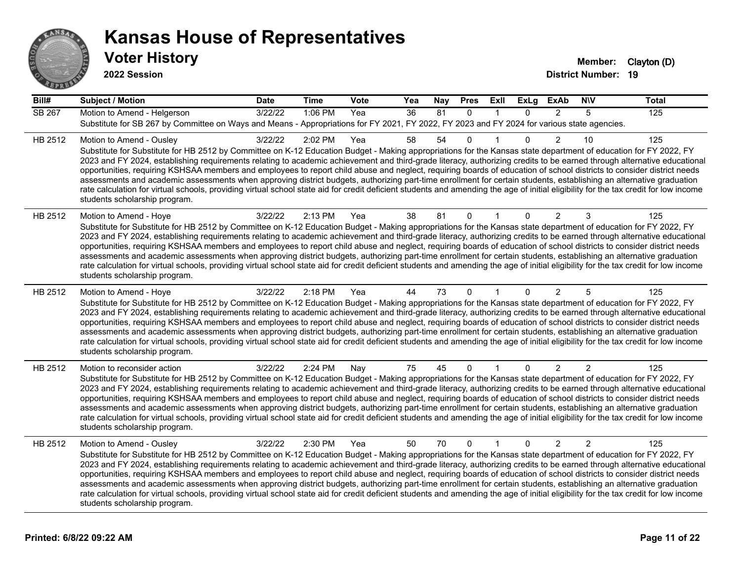

**2022 Session**

**Voter History Member:** Clayton (D)

| Bill#         | <b>Subject / Motion</b>                                                                                                                                                                                                                                                                                                                                                                                                                                                                                                                                                                                                                                                                                                                                                                                                                                                                                                                             | <b>Date</b> | <b>Time</b> | <b>Vote</b> | Yea | Nay | <b>Pres</b>  | Exll         | <b>ExLg</b>  | <b>ExAb</b>    | <b>NIV</b>     | <b>Total</b> |
|---------------|-----------------------------------------------------------------------------------------------------------------------------------------------------------------------------------------------------------------------------------------------------------------------------------------------------------------------------------------------------------------------------------------------------------------------------------------------------------------------------------------------------------------------------------------------------------------------------------------------------------------------------------------------------------------------------------------------------------------------------------------------------------------------------------------------------------------------------------------------------------------------------------------------------------------------------------------------------|-------------|-------------|-------------|-----|-----|--------------|--------------|--------------|----------------|----------------|--------------|
| <b>SB 267</b> | Motion to Amend - Helgerson                                                                                                                                                                                                                                                                                                                                                                                                                                                                                                                                                                                                                                                                                                                                                                                                                                                                                                                         | 3/22/22     | 1:06 PM     | Yea         | 36  | 81  | $\mathbf{0}$ | 1            | $\Omega$     | $\overline{2}$ | 5              | 125          |
|               | Substitute for SB 267 by Committee on Ways and Means - Appropriations for FY 2021, FY 2022, FY 2023 and FY 2024 for various state agencies.                                                                                                                                                                                                                                                                                                                                                                                                                                                                                                                                                                                                                                                                                                                                                                                                         |             |             |             |     |     |              |              |              |                |                |              |
| HB 2512       | Motion to Amend - Ousley<br>Substitute for Substitute for HB 2512 by Committee on K-12 Education Budget - Making appropriations for the Kansas state department of education for FY 2022, FY<br>2023 and FY 2024, establishing requirements relating to academic achievement and third-grade literacy, authorizing credits to be earned through alternative educational<br>opportunities, requiring KSHSAA members and employees to report child abuse and neglect, requiring boards of education of school districts to consider district needs<br>assessments and academic assessments when approving district budgets, authorizing part-time enrollment for certain students, establishing an alternative graduation<br>rate calculation for virtual schools, providing virtual school state aid for credit deficient students and amending the age of initial eligibility for the tax credit for low income<br>students scholarship program.    | 3/22/22     | 2:02 PM     | Yea         | 58  | 54  | $\Omega$     |              | $\Omega$     | 2              | 10             | 125          |
| HB 2512       | Motion to Amend - Hoye<br>Substitute for Substitute for HB 2512 by Committee on K-12 Education Budget - Making appropriations for the Kansas state department of education for FY 2022, FY<br>2023 and FY 2024, establishing requirements relating to academic achievement and third-grade literacy, authorizing credits to be earned through alternative educational<br>opportunities, requiring KSHSAA members and employees to report child abuse and neglect, requiring boards of education of school districts to consider district needs<br>assessments and academic assessments when approving district budgets, authorizing part-time enrollment for certain students, establishing an alternative graduation<br>rate calculation for virtual schools, providing virtual school state aid for credit deficient students and amending the age of initial eligibility for the tax credit for low income<br>students scholarship program.      | 3/22/22     | 2:13 PM     | Yea         | 38  | 81  | $\Omega$     |              | $\Omega$     | $\overline{2}$ | 3              | 125          |
| HB 2512       | Motion to Amend - Hoye<br>Substitute for Substitute for HB 2512 by Committee on K-12 Education Budget - Making appropriations for the Kansas state department of education for FY 2022, FY<br>2023 and FY 2024, establishing requirements relating to academic achievement and third-grade literacy, authorizing credits to be earned through alternative educational<br>opportunities, requiring KSHSAA members and employees to report child abuse and neglect, requiring boards of education of school districts to consider district needs<br>assessments and academic assessments when approving district budgets, authorizing part-time enrollment for certain students, establishing an alternative graduation<br>rate calculation for virtual schools, providing virtual school state aid for credit deficient students and amending the age of initial eligibility for the tax credit for low income<br>students scholarship program.      | 3/22/22     | 2:18 PM     | Yea         | 44  | 73  | 0            |              | 0            | $\overline{2}$ | 5              | 125          |
| HB 2512       | Motion to reconsider action<br>Substitute for Substitute for HB 2512 by Committee on K-12 Education Budget - Making appropriations for the Kansas state department of education for FY 2022, FY<br>2023 and FY 2024, establishing requirements relating to academic achievement and third-grade literacy, authorizing credits to be earned through alternative educational<br>opportunities, requiring KSHSAA members and employees to report child abuse and neglect, requiring boards of education of school districts to consider district needs<br>assessments and academic assessments when approving district budgets, authorizing part-time enrollment for certain students, establishing an alternative graduation<br>rate calculation for virtual schools, providing virtual school state aid for credit deficient students and amending the age of initial eligibility for the tax credit for low income<br>students scholarship program. | 3/22/22     | 2:24 PM     | Nay         | 75  | 45  | $\mathbf 0$  | $\mathbf{1}$ | $\mathbf{0}$ | $\overline{2}$ | 2              | 125          |
| HB 2512       | Motion to Amend - Ousley<br>Substitute for Substitute for HB 2512 by Committee on K-12 Education Budget - Making appropriations for the Kansas state department of education for FY 2022, FY<br>2023 and FY 2024, establishing requirements relating to academic achievement and third-grade literacy, authorizing credits to be earned through alternative educational<br>opportunities, requiring KSHSAA members and employees to report child abuse and neglect, requiring boards of education of school districts to consider district needs<br>assessments and academic assessments when approving district budgets, authorizing part-time enrollment for certain students, establishing an alternative graduation<br>rate calculation for virtual schools, providing virtual school state aid for credit deficient students and amending the age of initial eligibility for the tax credit for low income<br>students scholarship program.    | 3/22/22     | 2:30 PM     | Yea         | 50  | 70  | $\mathbf{0}$ | $\mathbf{1}$ | $\mathbf{0}$ | $\overline{2}$ | $\overline{2}$ | 125          |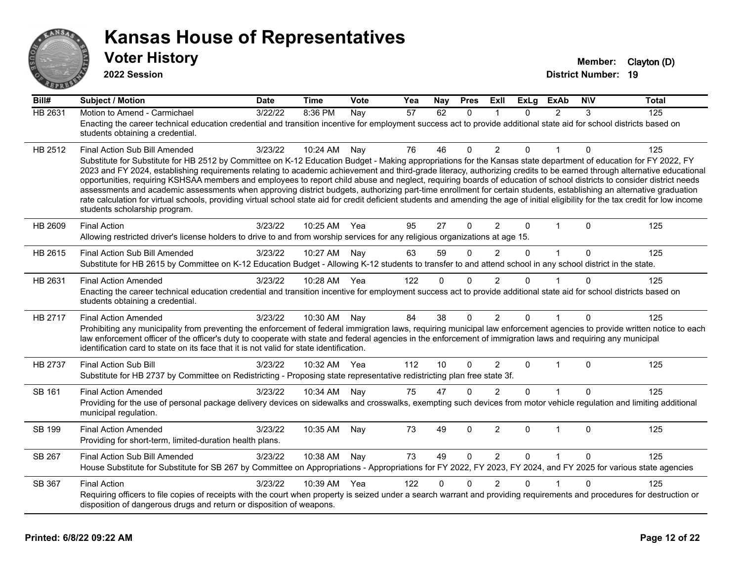

**2022 Session**

| Bill#          | <b>Subject / Motion</b>                                                                                                                                                                                                                                                                                                                                     | <b>Date</b> | <b>Time</b> | Vote | Yea | Nay          | <b>Pres</b>  | ExII           | <b>ExLg</b> | <b>ExAb</b>    | <b>NIV</b>  | <b>Total</b> |
|----------------|-------------------------------------------------------------------------------------------------------------------------------------------------------------------------------------------------------------------------------------------------------------------------------------------------------------------------------------------------------------|-------------|-------------|------|-----|--------------|--------------|----------------|-------------|----------------|-------------|--------------|
| <b>HB 2631</b> | Motion to Amend - Carmichael                                                                                                                                                                                                                                                                                                                                | 3/22/22     | 8:36 PM     | Nay  | 57  | 62           | $\mathbf{0}$ |                | $\Omega$    | $\overline{2}$ | 3           | 125          |
|                | Enacting the career technical education credential and transition incentive for employment success act to provide additional state aid for school districts based on<br>students obtaining a credential.                                                                                                                                                    |             |             |      |     |              |              |                |             |                |             |              |
|                |                                                                                                                                                                                                                                                                                                                                                             |             |             |      |     |              |              |                |             |                |             |              |
| HB 2512        | <b>Final Action Sub Bill Amended</b>                                                                                                                                                                                                                                                                                                                        | 3/23/22     | 10:24 AM    | Nay  | 76  | 46           | 0            | 2              | 0           |                | 0           | 125          |
|                | Substitute for Substitute for HB 2512 by Committee on K-12 Education Budget - Making appropriations for the Kansas state department of education for FY 2022, FY<br>2023 and FY 2024, establishing requirements relating to academic achievement and third-grade literacy, authorizing credits to be earned through alternative educational                 |             |             |      |     |              |              |                |             |                |             |              |
|                | opportunities, requiring KSHSAA members and employees to report child abuse and neglect, requiring boards of education of school districts to consider district needs                                                                                                                                                                                       |             |             |      |     |              |              |                |             |                |             |              |
|                | assessments and academic assessments when approving district budgets, authorizing part-time enrollment for certain students, establishing an alternative graduation<br>rate calculation for virtual schools, providing virtual school state aid for credit deficient students and amending the age of initial eligibility for the tax credit for low income |             |             |      |     |              |              |                |             |                |             |              |
|                | students scholarship program.                                                                                                                                                                                                                                                                                                                               |             |             |      |     |              |              |                |             |                |             |              |
| HB 2609        | <b>Final Action</b>                                                                                                                                                                                                                                                                                                                                         | 3/23/22     | 10:25 AM    | Yea  | 95  | 27           | $\Omega$     | $\overline{2}$ | $\Omega$    | $\mathbf{1}$   | $\Omega$    | 125          |
|                | Allowing restricted driver's license holders to drive to and from worship services for any religious organizations at age 15.                                                                                                                                                                                                                               |             |             |      |     |              |              |                |             |                |             |              |
| HB 2615        | Final Action Sub Bill Amended                                                                                                                                                                                                                                                                                                                               | 3/23/22     | 10:27 AM    | Nay  | 63  | 59           | $\Omega$     | $\overline{2}$ | $\Omega$    | $\mathbf{1}$   | $\mathbf 0$ | 125          |
|                | Substitute for HB 2615 by Committee on K-12 Education Budget - Allowing K-12 students to transfer to and attend school in any school district in the state.                                                                                                                                                                                                 |             |             |      |     |              |              |                |             |                |             |              |
| HB 2631        | <b>Final Action Amended</b>                                                                                                                                                                                                                                                                                                                                 | 3/23/22     | 10:28 AM    | Yea  | 122 | $\Omega$     | $\Omega$     | 2              | $\Omega$    |                | $\Omega$    | 125          |
|                | Enacting the career technical education credential and transition incentive for employment success act to provide additional state aid for school districts based on                                                                                                                                                                                        |             |             |      |     |              |              |                |             |                |             |              |
|                | students obtaining a credential.                                                                                                                                                                                                                                                                                                                            |             |             |      |     |              |              |                |             |                |             |              |
| HB 2717        | <b>Final Action Amended</b>                                                                                                                                                                                                                                                                                                                                 | 3/23/22     | 10:30 AM    | Nay  | 84  | 38           | $\Omega$     | $\overline{2}$ | $\Omega$    | 1              | 0           | 125          |
|                | Prohibiting any municipality from preventing the enforcement of federal immigration laws, requiring municipal law enforcement agencies to provide written notice to each                                                                                                                                                                                    |             |             |      |     |              |              |                |             |                |             |              |
|                | law enforcement officer of the officer's duty to cooperate with state and federal agencies in the enforcement of immigration laws and requiring any municipal<br>identification card to state on its face that it is not valid for state identification.                                                                                                    |             |             |      |     |              |              |                |             |                |             |              |
|                |                                                                                                                                                                                                                                                                                                                                                             |             |             |      |     |              |              |                |             |                |             |              |
| <b>HB 2737</b> | <b>Final Action Sub Bill</b><br>Substitute for HB 2737 by Committee on Redistricting - Proposing state representative redistricting plan free state 3f.                                                                                                                                                                                                     | 3/23/22     | 10:32 AM    | Yea  | 112 | 10           | $\Omega$     | $\overline{2}$ | $\Omega$    | $\mathbf 1$    | $\Omega$    | 125          |
|                |                                                                                                                                                                                                                                                                                                                                                             |             |             |      |     |              |              |                |             |                |             |              |
| SB 161         | <b>Final Action Amended</b><br>Providing for the use of personal package delivery devices on sidewalks and crosswalks, exempting such devices from motor vehicle regulation and limiting additional                                                                                                                                                         | 3/23/22     | 10:34 AM    | Nay  | 75  | 47           | $\Omega$     | 2              | $\Omega$    |                | $\Omega$    | 125          |
|                | municipal regulation.                                                                                                                                                                                                                                                                                                                                       |             |             |      |     |              |              |                |             |                |             |              |
| <b>SB 199</b>  | <b>Final Action Amended</b>                                                                                                                                                                                                                                                                                                                                 | 3/23/22     | 10:35 AM    | Nay  | 73  | 49           | 0            | $\overline{2}$ | $\Omega$    | $\overline{1}$ | $\Omega$    | 125          |
|                | Providing for short-term, limited-duration health plans.                                                                                                                                                                                                                                                                                                    |             |             |      |     |              |              |                |             |                |             |              |
| SB 267         | Final Action Sub Bill Amended                                                                                                                                                                                                                                                                                                                               | 3/23/22     | 10:38 AM    | Nay  | 73  | 49           | $\Omega$     | $\overline{2}$ | $\Omega$    | $\overline{1}$ | $\Omega$    | 125          |
|                | House Substitute for Substitute for SB 267 by Committee on Appropriations - Appropriations for FY 2022, FY 2023, FY 2024, and FY 2025 for various state agencies                                                                                                                                                                                            |             |             |      |     |              |              |                |             |                |             |              |
|                |                                                                                                                                                                                                                                                                                                                                                             | 3/23/22     | 10:39 AM    | Yea  | 122 | $\mathbf{0}$ | $\mathbf 0$  | $\overline{2}$ | $\Omega$    |                | $\Omega$    | 125          |
| SB 367         | <b>Final Action</b><br>Requiring officers to file copies of receipts with the court when property is seized under a search warrant and providing requirements and procedures for destruction or                                                                                                                                                             |             |             |      |     |              |              |                |             |                |             |              |
|                | disposition of dangerous drugs and return or disposition of weapons.                                                                                                                                                                                                                                                                                        |             |             |      |     |              |              |                |             |                |             |              |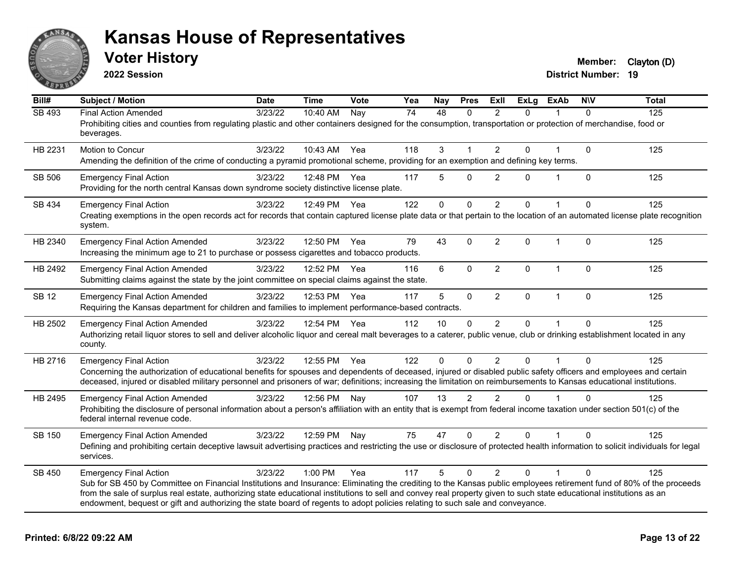

**2022 Session**

**Voter History Member:** Clayton (D)

| $\overline{Bill#}$ | <b>Subject / Motion</b>                                                                                                                                                                                                                                                                                                                                                                                                                                                                                        | <b>Date</b> | <b>Time</b> | Vote | Yea | Nay          | <b>Pres</b>    | ExIl           | <b>ExLg</b> | <b>ExAb</b>    | <b>NIV</b>   | <b>Total</b> |
|--------------------|----------------------------------------------------------------------------------------------------------------------------------------------------------------------------------------------------------------------------------------------------------------------------------------------------------------------------------------------------------------------------------------------------------------------------------------------------------------------------------------------------------------|-------------|-------------|------|-----|--------------|----------------|----------------|-------------|----------------|--------------|--------------|
| <b>SB 493</b>      | <b>Final Action Amended</b><br>Prohibiting cities and counties from regulating plastic and other containers designed for the consumption, transportation or protection of merchandise, food or<br>beverages.                                                                                                                                                                                                                                                                                                   | 3/23/22     | 10:40 AM    | Nay  | 74  | 48           | $\mathbf{0}$   | $\overline{2}$ | $\Omega$    |                | $\Omega$     | 125          |
| HB 2231            | Motion to Concur<br>Amending the definition of the crime of conducting a pyramid promotional scheme, providing for an exemption and defining key terms.                                                                                                                                                                                                                                                                                                                                                        | 3/23/22     | 10:43 AM    | Yea  | 118 | 3            |                | $\overline{2}$ | 0           |                | $\mathbf{0}$ | 125          |
| SB 506             | <b>Emergency Final Action</b><br>Providing for the north central Kansas down syndrome society distinctive license plate.                                                                                                                                                                                                                                                                                                                                                                                       | 3/23/22     | 12:48 PM    | Yea  | 117 | 5            | $\Omega$       | 2              | $\Omega$    |                | $\mathbf{0}$ | 125          |
| SB 434             | <b>Emergency Final Action</b><br>Creating exemptions in the open records act for records that contain captured license plate data or that pertain to the location of an automated license plate recognition<br>system.                                                                                                                                                                                                                                                                                         | 3/23/22     | 12:49 PM    | Yea  | 122 | $\mathbf{0}$ | $\Omega$       | 2              | 0           |                | $\Omega$     | 125          |
| HB 2340            | <b>Emergency Final Action Amended</b><br>Increasing the minimum age to 21 to purchase or possess cigarettes and tobacco products.                                                                                                                                                                                                                                                                                                                                                                              | 3/23/22     | 12:50 PM    | Yea  | 79  | 43           | $\mathbf{0}$   | $\overline{2}$ | 0           | $\overline{1}$ | $\Omega$     | 125          |
| HB 2492            | <b>Emergency Final Action Amended</b><br>Submitting claims against the state by the joint committee on special claims against the state.                                                                                                                                                                                                                                                                                                                                                                       | 3/23/22     | 12:52 PM    | Yea  | 116 | 6            | $\mathbf{0}$   | $\overline{2}$ | $\Omega$    | 1              | $\mathbf{0}$ | 125          |
| <b>SB 12</b>       | <b>Emergency Final Action Amended</b><br>Requiring the Kansas department for children and families to implement performance-based contracts.                                                                                                                                                                                                                                                                                                                                                                   | 3/23/22     | 12:53 PM    | Yea  | 117 | 5            | $\mathbf 0$    | $\overline{2}$ | 0           | $\mathbf 1$    | $\mathbf 0$  | 125          |
| HB 2502            | <b>Emergency Final Action Amended</b><br>Authorizing retail liquor stores to sell and deliver alcoholic liquor and cereal malt beverages to a caterer, public venue, club or drinking establishment located in any<br>county.                                                                                                                                                                                                                                                                                  | 3/23/22     | 12:54 PM    | Yea  | 112 | 10           | 0              | $\overline{2}$ | 0           |                | $\Omega$     | 125          |
| HB 2716            | <b>Emergency Final Action</b><br>Concerning the authorization of educational benefits for spouses and dependents of deceased, injured or disabled public safety officers and employees and certain<br>deceased, injured or disabled military personnel and prisoners of war; definitions; increasing the limitation on reimbursements to Kansas educational institutions.                                                                                                                                      | 3/23/22     | 12:55 PM    | Yea  | 122 | 0            | $\mathbf{0}$   | $\overline{2}$ | 0           |                | $\Omega$     | 125          |
| HB 2495            | <b>Emergency Final Action Amended</b><br>Prohibiting the disclosure of personal information about a person's affiliation with an entity that is exempt from federal income taxation under section 501(c) of the<br>federal internal revenue code.                                                                                                                                                                                                                                                              | 3/23/22     | 12:56 PM    | Nay  | 107 | 13           | $\overline{2}$ | $\overline{2}$ | $\Omega$    |                | $\Omega$     | 125          |
| SB 150             | <b>Emergency Final Action Amended</b><br>Defining and prohibiting certain deceptive lawsuit advertising practices and restricting the use or disclosure of protected health information to solicit individuals for legal<br>services.                                                                                                                                                                                                                                                                          | 3/23/22     | 12:59 PM    | Nay  | 75  | 47           | $\Omega$       | $\overline{2}$ | 0           |                | $\Omega$     | 125          |
| SB 450             | <b>Emergency Final Action</b><br>Sub for SB 450 by Committee on Financial Institutions and Insurance: Eliminating the crediting to the Kansas public employees retirement fund of 80% of the proceeds<br>from the sale of surplus real estate, authorizing state educational institutions to sell and convey real property given to such state educational institutions as an<br>endowment, bequest or gift and authorizing the state board of regents to adopt policies relating to such sale and conveyance. | 3/23/22     | $1:00$ PM   | Yea  | 117 | 5            | $\Omega$       | $\mathfrak{p}$ | $\Omega$    |                | $\Omega$     | 125          |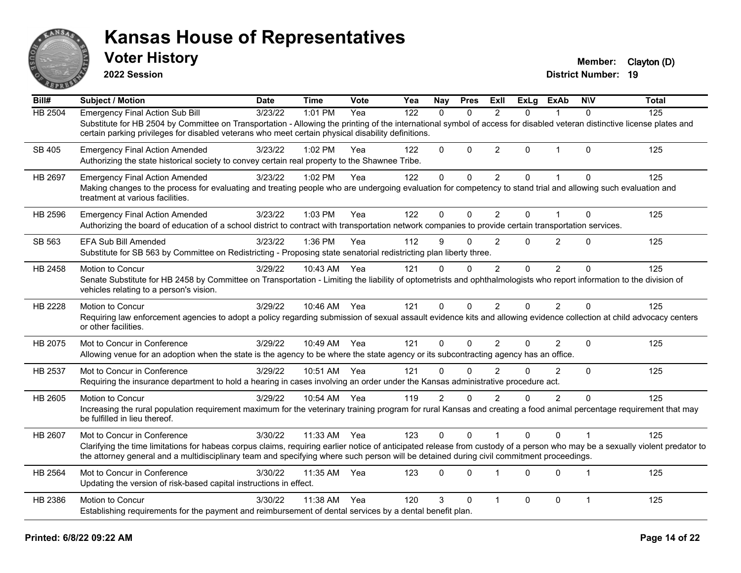

**2022 Session**

**Voter History Member:** Clayton (D)

| Bill#   | Subject / Motion                                                                                                                                                                                                                                                                                                         | <b>Date</b> | <b>Time</b> | <b>Vote</b> | Yea              | Nay            | <b>Pres</b>  | ExII           | <b>ExLg</b> | ExAb           | <b>NIV</b>     | <b>Total</b> |
|---------|--------------------------------------------------------------------------------------------------------------------------------------------------------------------------------------------------------------------------------------------------------------------------------------------------------------------------|-------------|-------------|-------------|------------------|----------------|--------------|----------------|-------------|----------------|----------------|--------------|
| HB 2504 | <b>Emergency Final Action Sub Bill</b>                                                                                                                                                                                                                                                                                   | 3/23/22     | 1:01 PM     | Yea         | $\overline{122}$ | $\Omega$       | $\Omega$     | $\mathcal{P}$  | $\Omega$    |                | $\Omega$       | 125          |
|         | Substitute for HB 2504 by Committee on Transportation - Allowing the printing of the international symbol of access for disabled veteran distinctive license plates and<br>certain parking privileges for disabled veterans who meet certain physical disability definitions.                                            |             |             |             |                  |                |              |                |             |                |                |              |
| SB 405  | <b>Emergency Final Action Amended</b><br>Authorizing the state historical society to convey certain real property to the Shawnee Tribe.                                                                                                                                                                                  | 3/23/22     | 1:02 PM     | Yea         | 122              | $\mathbf{0}$   | $\mathbf{0}$ | $\overline{2}$ | 0           | 1              | $\Omega$       | 125          |
| HB 2697 | <b>Emergency Final Action Amended</b>                                                                                                                                                                                                                                                                                    | 3/23/22     | 1:02 PM     | Yea         | 122              | $\mathbf 0$    | $\mathbf 0$  | $\overline{2}$ | 0           |                | $\mathbf 0$    | 125          |
|         | Making changes to the process for evaluating and treating people who are undergoing evaluation for competency to stand trial and allowing such evaluation and<br>treatment at various facilities.                                                                                                                        |             |             |             |                  |                |              |                |             |                |                |              |
| HB 2596 | <b>Emergency Final Action Amended</b>                                                                                                                                                                                                                                                                                    | 3/23/22     | 1:03 PM     | Yea         | 122              | 0              | $\mathbf{0}$ | $\overline{2}$ | 0           |                | $\mathbf{0}$   | 125          |
|         | Authorizing the board of education of a school district to contract with transportation network companies to provide certain transportation services.                                                                                                                                                                    |             |             |             |                  |                |              |                |             |                |                |              |
| SB 563  | <b>EFA Sub Bill Amended</b>                                                                                                                                                                                                                                                                                              | 3/23/22     | 1:36 PM     | Yea         | 112              | 9              | $\Omega$     | $\overline{2}$ | $\Omega$    | $\overline{2}$ | $\Omega$       | 125          |
|         | Substitute for SB 563 by Committee on Redistricting - Proposing state senatorial redistricting plan liberty three.                                                                                                                                                                                                       |             |             |             |                  |                |              |                |             |                |                |              |
| HB 2458 | Motion to Concur                                                                                                                                                                                                                                                                                                         | 3/29/22     | 10:43 AM    | Yea         | 121              | $\Omega$       | $\Omega$     | 2              | $\Omega$    | $\overline{2}$ | $\Omega$       | 125          |
|         | Senate Substitute for HB 2458 by Committee on Transportation - Limiting the liability of optometrists and ophthalmologists who report information to the division of<br>vehicles relating to a person's vision.                                                                                                          |             |             |             |                  |                |              |                |             |                |                |              |
| HB 2228 | Motion to Concur                                                                                                                                                                                                                                                                                                         | 3/29/22     | 10:46 AM    | Yea         | 121              | $\Omega$       | $\Omega$     | 2              | $\Omega$    | $\overline{2}$ | $\Omega$       | 125          |
|         | Requiring law enforcement agencies to adopt a policy regarding submission of sexual assault evidence kits and allowing evidence collection at child advocacy centers<br>or other facilities.                                                                                                                             |             |             |             |                  |                |              |                |             |                |                |              |
| HB 2075 | Mot to Concur in Conference                                                                                                                                                                                                                                                                                              | 3/29/22     | 10:49 AM    | Yea         | 121              | $\Omega$       | $\Omega$     | $\overline{2}$ | $\Omega$    | $\overline{2}$ | $\Omega$       | 125          |
|         | Allowing venue for an adoption when the state is the agency to be where the state agency or its subcontracting agency has an office.                                                                                                                                                                                     |             |             |             |                  |                |              |                |             |                |                |              |
| HB 2537 | Mot to Concur in Conference                                                                                                                                                                                                                                                                                              | 3/29/22     | 10:51 AM    | Yea         | 121              | $\Omega$       | $\Omega$     | $\mathfrak{p}$ | $\Omega$    | $\overline{2}$ | $\Omega$       | 125          |
|         | Requiring the insurance department to hold a hearing in cases involving an order under the Kansas administrative procedure act.                                                                                                                                                                                          |             |             |             |                  |                |              |                |             |                |                |              |
| HB 2605 | Motion to Concur                                                                                                                                                                                                                                                                                                         | 3/29/22     | 10:54 AM    | Yea         | 119              | $\overline{2}$ | $\Omega$     | $\overline{2}$ | 0           | $\overline{2}$ | $\Omega$       | 125          |
|         | Increasing the rural population requirement maximum for the veterinary training program for rural Kansas and creating a food animal percentage requirement that may<br>be fulfilled in lieu thereof.                                                                                                                     |             |             |             |                  |                |              |                |             |                |                |              |
| HB 2607 | Mot to Concur in Conference                                                                                                                                                                                                                                                                                              | 3/30/22     | 11:33 AM    | Yea         | 123              | $\Omega$       | $\Omega$     |                | $\Omega$    | $\Omega$       |                | 125          |
|         | Clarifying the time limitations for habeas corpus claims, requiring earlier notice of anticipated release from custody of a person who may be a sexually violent predator to<br>the attorney general and a multidisciplinary team and specifying where such person will be detained during civil commitment proceedings. |             |             |             |                  |                |              |                |             |                |                |              |
| HB 2564 | Mot to Concur in Conference                                                                                                                                                                                                                                                                                              | 3/30/22     | 11:35 AM    | Yea         | 123              | $\Omega$       | $\Omega$     | $\overline{1}$ | $\Omega$    | $\Omega$       | $\overline{1}$ | 125          |
|         | Updating the version of risk-based capital instructions in effect.                                                                                                                                                                                                                                                       |             |             |             |                  |                |              |                |             |                |                |              |
| HB 2386 | Motion to Concur                                                                                                                                                                                                                                                                                                         | 3/30/22     | 11:38 AM    | Yea         | 120              | 3              | $\mathbf{0}$ | $\overline{1}$ | 0           | $\mathbf 0$    | $\mathbf{1}$   | 125          |
|         | Establishing requirements for the payment and reimbursement of dental services by a dental benefit plan.                                                                                                                                                                                                                 |             |             |             |                  |                |              |                |             |                |                |              |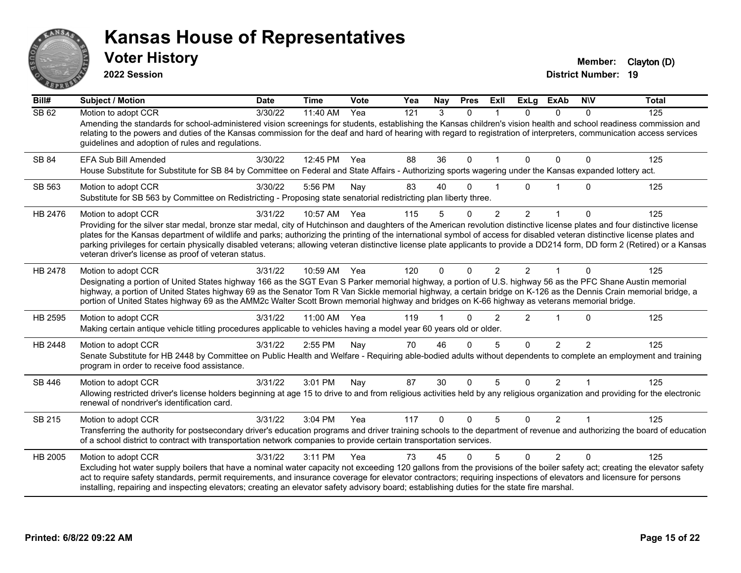

**2022 Session**

**Voter History Member:** Clayton (D)

| Bill#        | <b>Subject / Motion</b>                                                                                                                                                                                                                                                                                                                                                                                                                                                                                                                                                                                                 | <b>Date</b> | <b>Time</b> | Vote | Yea | Nay         | <b>Pres</b>  | ExII           | <b>ExLg</b>    | <b>ExAb</b>    | <b>NIV</b>     | <b>Total</b> |
|--------------|-------------------------------------------------------------------------------------------------------------------------------------------------------------------------------------------------------------------------------------------------------------------------------------------------------------------------------------------------------------------------------------------------------------------------------------------------------------------------------------------------------------------------------------------------------------------------------------------------------------------------|-------------|-------------|------|-----|-------------|--------------|----------------|----------------|----------------|----------------|--------------|
| <b>SB 62</b> | Motion to adopt CCR<br>Amending the standards for school-administered vision screenings for students, establishing the Kansas children's vision health and school readiness commission and<br>relating to the powers and duties of the Kansas commission for the deaf and hard of hearing with regard to registration of interpreters, communication access services<br>guidelines and adoption of rules and regulations.                                                                                                                                                                                               | 3/30/22     | 11:40 AM    | Yea  | 121 | 3           | $\Omega$     |                | 0              | $\Omega$       | $\Omega$       | 125          |
| SB 84        | EFA Sub Bill Amended<br>House Substitute for Substitute for SB 84 by Committee on Federal and State Affairs - Authorizing sports wagering under the Kansas expanded lottery act.                                                                                                                                                                                                                                                                                                                                                                                                                                        | 3/30/22     | 12:45 PM    | Yea  | 88  | 36          | $\mathbf{0}$ |                | 0              | $\Omega$       | 0              | 125          |
| SB 563       | Motion to adopt CCR<br>Substitute for SB 563 by Committee on Redistricting - Proposing state senatorial redistricting plan liberty three.                                                                                                                                                                                                                                                                                                                                                                                                                                                                               | 3/30/22     | 5:56 PM     | Nay  | 83  | 40          | ∩            |                | U              |                | O              | 125          |
| HB 2476      | Motion to adopt CCR<br>Providing for the silver star medal, bronze star medal, city of Hutchinson and daughters of the American revolution distinctive license plates and four distinctive license<br>plates for the Kansas department of wildlife and parks; authorizing the printing of the international symbol of access for disabled veteran distinctive license plates and<br>parking privileges for certain physically disabled veterans; allowing veteran distinctive license plate applicants to provide a DD214 form, DD form 2 (Retired) or a Kansas<br>veteran driver's license as proof of veteran status. | 3/31/22     | 10:57 AM    | Yea  | 115 | 5           | 0            | $\overline{2}$ | $\overline{2}$ | 1              | 0              | 125          |
| HB 2478      | Motion to adopt CCR<br>Designating a portion of United States highway 166 as the SGT Evan S Parker memorial highway, a portion of U.S. highway 56 as the PFC Shane Austin memorial<br>highway, a portion of United States highway 69 as the Senator Tom R Van Sickle memorial highway, a certain bridge on K-126 as the Dennis Crain memorial bridge, a<br>portion of United States highway 69 as the AMM2c Walter Scott Brown memorial highway and bridges on K-66 highway as veterans memorial bridge.                                                                                                                | 3/31/22     | 10:59 AM    | Yea  | 120 | $\Omega$    | $\Omega$     | $\overline{2}$ | $\mathcal{P}$  |                | $\Omega$       | 125          |
| HB 2595      | Motion to adopt CCR<br>Making certain antique vehicle titling procedures applicable to vehicles having a model year 60 years old or older.                                                                                                                                                                                                                                                                                                                                                                                                                                                                              | 3/31/22     | 11:00 AM    | Yea  | 119 |             | O            | $\mathcal{P}$  | $\overline{2}$ |                | $\Omega$       | 125          |
| HB 2448      | Motion to adopt CCR<br>Senate Substitute for HB 2448 by Committee on Public Health and Welfare - Requiring able-bodied adults without dependents to complete an employment and training<br>program in order to receive food assistance.                                                                                                                                                                                                                                                                                                                                                                                 | 3/31/22     | 2:55 PM     | Nay  | 70  | 46          | $\Omega$     | 5              | $\Omega$       | $\overline{2}$ | $\overline{2}$ | 125          |
| SB 446       | Motion to adopt CCR<br>Allowing restricted driver's license holders beginning at age 15 to drive to and from religious activities held by any religious organization and providing for the electronic<br>renewal of nondriver's identification card.                                                                                                                                                                                                                                                                                                                                                                    | 3/31/22     | 3:01 PM     | Nay  | 87  | 30          | $\Omega$     | 5              | $\Omega$       | $\overline{2}$ |                | 125          |
| SB 215       | Motion to adopt CCR<br>Transferring the authority for postsecondary driver's education programs and driver training schools to the department of revenue and authorizing the board of education<br>of a school district to contract with transportation network companies to provide certain transportation services.                                                                                                                                                                                                                                                                                                   | 3/31/22     | 3:04 PM     | Yea  | 117 | $\mathbf 0$ | $\Omega$     | 5              | $\Omega$       | $\overline{2}$ |                | 125          |
| HB 2005      | Motion to adopt CCR<br>Excluding hot water supply boilers that have a nominal water capacity not exceeding 120 gallons from the provisions of the boiler safety act; creating the elevator safety<br>act to require safety standards, permit requirements, and insurance coverage for elevator contractors; requiring inspections of elevators and licensure for persons<br>installing, repairing and inspecting elevators; creating an elevator safety advisory board; establishing duties for the state fire marshal.                                                                                                 | 3/31/22     | 3:11 PM     | Yea  | 73  | 45          | $\Omega$     | 5              | $\Omega$       | $\overline{2}$ | $\Omega$       | 125          |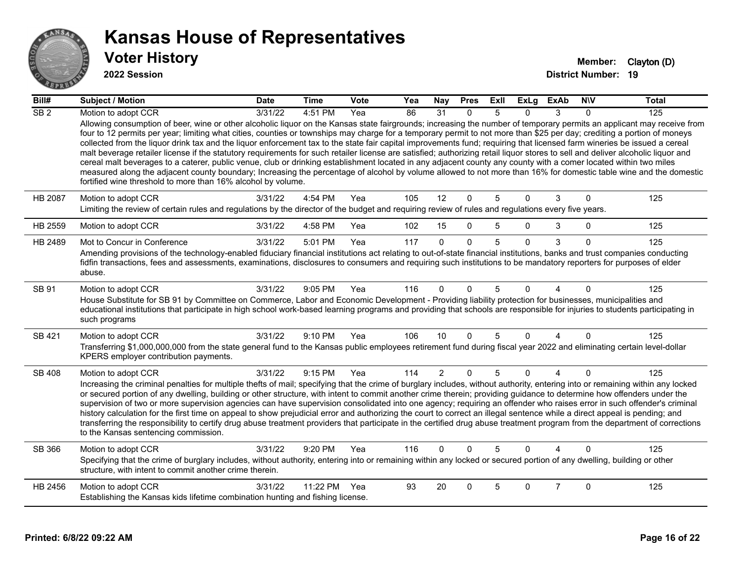

| Bill#            | <b>Subject / Motion</b>                                                                                                                                                                                                                                                                                                                                                                                                                                                                                                                                                                                                                                                                                                                                                                                                                                                                                                                                     | <b>Date</b> | <b>Time</b> | Vote | Yea | Nay            | <b>Pres</b>  | ExII | <b>ExLg</b>    | <b>ExAb</b>    | <b>NIV</b> | <b>Total</b> |
|------------------|-------------------------------------------------------------------------------------------------------------------------------------------------------------------------------------------------------------------------------------------------------------------------------------------------------------------------------------------------------------------------------------------------------------------------------------------------------------------------------------------------------------------------------------------------------------------------------------------------------------------------------------------------------------------------------------------------------------------------------------------------------------------------------------------------------------------------------------------------------------------------------------------------------------------------------------------------------------|-------------|-------------|------|-----|----------------|--------------|------|----------------|----------------|------------|--------------|
| $\overline{SB2}$ | Motion to adopt CCR<br>Allowing consumption of beer, wine or other alcoholic liquor on the Kansas state fairgrounds; increasing the number of temporary permits an applicant may receive from                                                                                                                                                                                                                                                                                                                                                                                                                                                                                                                                                                                                                                                                                                                                                               | 3/31/22     | 4:51 PM     | Yea  | 86  | 31             | $\Omega$     | 5    | 0              | 3              | $\Omega$   | 125          |
|                  | four to 12 permits per year; limiting what cities, counties or townships may charge for a temporary permit to not more than \$25 per day; crediting a portion of moneys<br>collected from the liquor drink tax and the liquor enforcement tax to the state fair capital improvements fund; requiring that licensed farm wineries be issued a cereal<br>malt beverage retailer license if the statutory requirements for such retailer license are satisfied; authorizing retail liquor stores to sell and deliver alcoholic liquor and<br>cereal malt beverages to a caterer, public venue, club or drinking establishment located in any adjacent county any county with a comer located within two miles<br>measured along the adjacent county boundary; Increasing the percentage of alcohol by volume allowed to not more than 16% for domestic table wine and the domestic<br>fortified wine threshold to more than 16% alcohol by volume.             |             |             |      |     |                |              |      |                |                |            |              |
| HB 2087          | Motion to adopt CCR<br>Limiting the review of certain rules and regulations by the director of the budget and requiring review of rules and regulations every five years.                                                                                                                                                                                                                                                                                                                                                                                                                                                                                                                                                                                                                                                                                                                                                                                   | 3/31/22     | 4:54 PM     | Yea  | 105 | 12             | $\mathbf{0}$ | 5    | $\Omega$       | 3              | $\Omega$   | 125          |
| HB 2559          | Motion to adopt CCR                                                                                                                                                                                                                                                                                                                                                                                                                                                                                                                                                                                                                                                                                                                                                                                                                                                                                                                                         | 3/31/22     | 4:58 PM     | Yea  | 102 | 15             | $\Omega$     | 5    | $\Omega$       | 3              | $\Omega$   | 125          |
| HB 2489          | Mot to Concur in Conference                                                                                                                                                                                                                                                                                                                                                                                                                                                                                                                                                                                                                                                                                                                                                                                                                                                                                                                                 | 3/31/22     | 5:01 PM     | Yea  | 117 | $\Omega$       | $\Omega$     | 5    | $\Omega$       | 3              | $\Omega$   | 125          |
|                  | Amending provisions of the technology-enabled fiduciary financial institutions act relating to out-of-state financial institutions, banks and trust companies conducting<br>fidfin transactions, fees and assessments, examinations, disclosures to consumers and requiring such institutions to be mandatory reporters for purposes of elder<br>abuse.                                                                                                                                                                                                                                                                                                                                                                                                                                                                                                                                                                                                     |             |             |      |     |                |              |      |                |                |            |              |
| SB 91            | Motion to adopt CCR<br>House Substitute for SB 91 by Committee on Commerce, Labor and Economic Development - Providing liability protection for businesses, municipalities and<br>educational institutions that participate in high school work-based learning programs and providing that schools are responsible for injuries to students participating in<br>such programs                                                                                                                                                                                                                                                                                                                                                                                                                                                                                                                                                                               | 3/31/22     | 9:05 PM     | Yea  | 116 | $\Omega$       | $\Omega$     | 5    | U              |                | $\Omega$   | 125          |
| <b>SB 421</b>    | Motion to adopt CCR<br>Transferring \$1,000,000,000 from the state general fund to the Kansas public employees retirement fund during fiscal year 2022 and eliminating certain level-dollar<br>KPERS employer contribution payments.                                                                                                                                                                                                                                                                                                                                                                                                                                                                                                                                                                                                                                                                                                                        | 3/31/22     | 9:10 PM     | Yea  | 106 | 10             | $\Omega$     | 5    | $\Omega$       | 4              | $\Omega$   | 125          |
| <b>SB 408</b>    | Motion to adopt CCR<br>Increasing the criminal penalties for multiple thefts of mail; specifying that the crime of burglary includes, without authority, entering into or remaining within any locked<br>or secured portion of any dwelling, building or other structure, with intent to commit another crime therein; providing guidance to determine how offenders under the<br>supervision of two or more supervision agencies can have supervision consolidated into one agency; requiring an offender who raises error in such offender's criminal<br>history calculation for the first time on appeal to show prejudicial error and authorizing the court to correct an illegal sentence while a direct appeal is pending; and<br>transferring the responsibility to certify drug abuse treatment providers that participate in the certified drug abuse treatment program from the department of corrections<br>to the Kansas sentencing commission. | 3/31/22     | 9:15 PM     | Yea  | 114 | $\overline{2}$ | $\mathbf{0}$ | 5    | $\overline{0}$ | $\overline{4}$ | $\Omega$   | 125          |
| SB 366           | Motion to adopt CCR<br>Specifying that the crime of burglary includes, without authority, entering into or remaining within any locked or secured portion of any dwelling, building or other<br>structure, with intent to commit another crime therein.                                                                                                                                                                                                                                                                                                                                                                                                                                                                                                                                                                                                                                                                                                     | 3/31/22     | 9:20 PM     | Yea  | 116 | $\Omega$       | $\Omega$     | 5    | $\Omega$       |                | $\Omega$   | 125          |
| HB 2456          | Motion to adopt CCR<br>Establishing the Kansas kids lifetime combination hunting and fishing license.                                                                                                                                                                                                                                                                                                                                                                                                                                                                                                                                                                                                                                                                                                                                                                                                                                                       | 3/31/22     | 11:22 PM    | Yea  | 93  | 20             | $\Omega$     | 5    | 0              | $\overline{7}$ | $\Omega$   | 125          |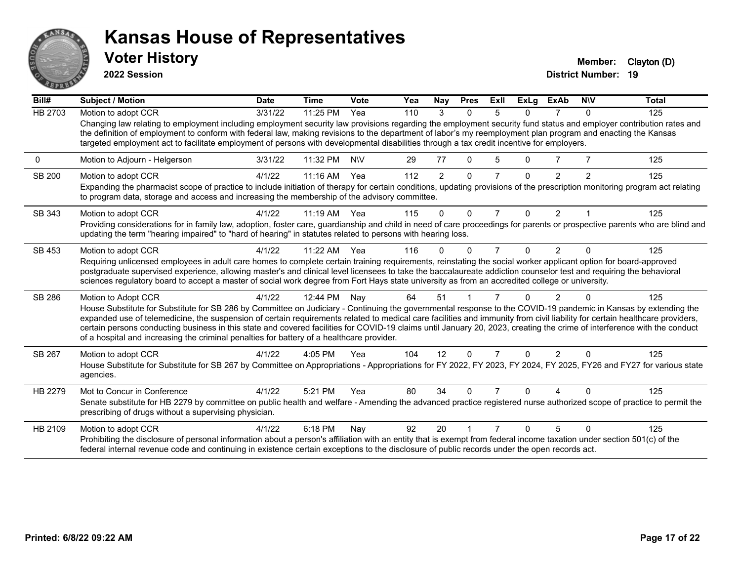

**2022 Session**

**District Number: 19 Voter History Member:** Clayton (D)

| Bill#          | Subject / Motion                                                                                                                                                                                                                                                                                                                                                                                                                                                                                                                                                                                                        | <b>Date</b> | <b>Time</b> | Vote       | Yea | Nay            | <b>Pres</b>  | ExII           | <b>ExLg</b> | <b>ExAb</b>    | <b>NIV</b> | <b>Total</b> |
|----------------|-------------------------------------------------------------------------------------------------------------------------------------------------------------------------------------------------------------------------------------------------------------------------------------------------------------------------------------------------------------------------------------------------------------------------------------------------------------------------------------------------------------------------------------------------------------------------------------------------------------------------|-------------|-------------|------------|-----|----------------|--------------|----------------|-------------|----------------|------------|--------------|
| <b>HB 2703</b> | Motion to adopt CCR                                                                                                                                                                                                                                                                                                                                                                                                                                                                                                                                                                                                     | 3/31/22     | 11:25 PM    | Yea        | 110 | 3              | $\Omega$     | 5              | $\Omega$    |                | $\Omega$   | 125          |
|                | Changing law relating to employment including employment security law provisions regarding the employment security fund status and employer contribution rates and<br>the definition of employment to conform with federal law, making revisions to the department of labor's my reemployment plan program and enacting the Kansas<br>targeted employment act to facilitate employment of persons with developmental disabilities through a tax credit incentive for employers.                                                                                                                                         |             |             |            |     |                |              |                |             |                |            |              |
| 0              | Motion to Adjourn - Helgerson                                                                                                                                                                                                                                                                                                                                                                                                                                                                                                                                                                                           | 3/31/22     | 11:32 PM    | <b>NIV</b> | 29  | 77             | $\mathbf{0}$ | 5              | 0           |                |            | 125          |
| SB 200         | Motion to adopt CCR                                                                                                                                                                                                                                                                                                                                                                                                                                                                                                                                                                                                     | 4/1/22      | 11:16 AM    | Yea        | 112 | $\overline{2}$ | $\Omega$     | 7              | 0           | $\mathfrak{p}$ | 2          | 125          |
|                | Expanding the pharmacist scope of practice to include initiation of therapy for certain conditions, updating provisions of the prescription monitoring program act relating<br>to program data, storage and access and increasing the membership of the advisory committee.                                                                                                                                                                                                                                                                                                                                             |             |             |            |     |                |              |                |             |                |            |              |
| SB 343         | Motion to adopt CCR                                                                                                                                                                                                                                                                                                                                                                                                                                                                                                                                                                                                     | 4/1/22      | 11:19 AM    | Yea        | 115 | $\Omega$       | $\Omega$     | $\overline{7}$ | 0           | $\overline{2}$ |            | 125          |
|                | Providing considerations for in family law, adoption, foster care, guardianship and child in need of care proceedings for parents or prospective parents who are blind and<br>updating the term "hearing impaired" to "hard of hearing" in statutes related to persons with hearing loss.                                                                                                                                                                                                                                                                                                                               |             |             |            |     |                |              |                |             |                |            |              |
| SB 453         | Motion to adopt CCR                                                                                                                                                                                                                                                                                                                                                                                                                                                                                                                                                                                                     | 4/1/22      | $11:22$ AM  | Yea        | 116 | N              | O            | 7              | 0           | $\overline{2}$ | ∩          | 125          |
|                | Requiring unlicensed employees in adult care homes to complete certain training requirements, reinstating the social worker applicant option for board-approved<br>postgraduate supervised experience, allowing master's and clinical level licensees to take the baccalaureate addiction counselor test and requiring the behavioral<br>sciences regulatory board to accept a master of social work degree from Fort Hays state university as from an accredited college or university.                                                                                                                                |             |             |            |     |                |              |                |             |                |            |              |
|                |                                                                                                                                                                                                                                                                                                                                                                                                                                                                                                                                                                                                                         |             |             |            |     |                |              |                |             |                |            |              |
| SB 286         | Motion to Adopt CCR                                                                                                                                                                                                                                                                                                                                                                                                                                                                                                                                                                                                     | 4/1/22      | 12:44 PM    | Nay        | 64  | 51             |              |                |             | 2              |            | 125          |
|                | House Substitute for Substitute for SB 286 by Committee on Judiciary - Continuing the governmental response to the COVID-19 pandemic in Kansas by extending the<br>expanded use of telemedicine, the suspension of certain requirements related to medical care facilities and immunity from civil liability for certain healthcare providers,<br>certain persons conducting business in this state and covered facilities for COVID-19 claims until January 20, 2023, creating the crime of interference with the conduct<br>of a hospital and increasing the criminal penalties for battery of a healthcare provider. |             |             |            |     |                |              |                |             |                |            |              |
| SB 267         | Motion to adopt CCR                                                                                                                                                                                                                                                                                                                                                                                                                                                                                                                                                                                                     | 4/1/22      | $4:05$ PM   | Yea        | 104 | 12             | $\Omega$     | 7              | 0           | $\mathcal{P}$  | $\Omega$   | 125          |
|                | House Substitute for Substitute for SB 267 by Committee on Appropriations - Appropriations for FY 2022, FY 2023, FY 2024, FY 2025, FY26 and FY27 for various state<br>agencies.                                                                                                                                                                                                                                                                                                                                                                                                                                         |             |             |            |     |                |              |                |             |                |            |              |
| HB 2279        | Mot to Concur in Conference                                                                                                                                                                                                                                                                                                                                                                                                                                                                                                                                                                                             | 4/1/22      | 5:21 PM     | Yea        | 80  | 34             | O            |                |             |                |            | 125          |
|                | Senate substitute for HB 2279 by committee on public health and welfare - Amending the advanced practice registered nurse authorized scope of practice to permit the<br>prescribing of drugs without a supervising physician.                                                                                                                                                                                                                                                                                                                                                                                           |             |             |            |     |                |              |                |             |                |            |              |
| HB 2109        | Motion to adopt CCR                                                                                                                                                                                                                                                                                                                                                                                                                                                                                                                                                                                                     | 4/1/22      | 6:18 PM     | Nay        | 92  | 20             |              |                |             | 5              | $\Omega$   | 125          |
|                | Prohibiting the disclosure of personal information about a person's affiliation with an entity that is exempt from federal income taxation under section 501(c) of the<br>federal internal revenue code and continuing in existence certain exceptions to the disclosure of public records under the open records act.                                                                                                                                                                                                                                                                                                  |             |             |            |     |                |              |                |             |                |            |              |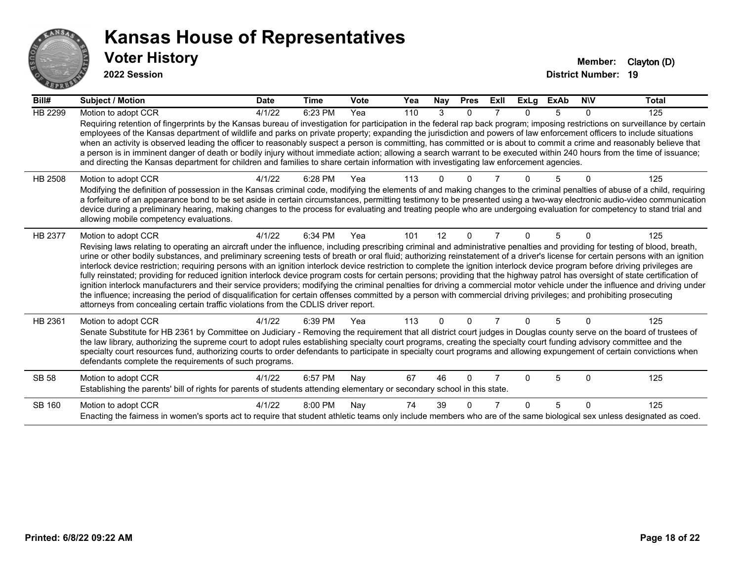

| Bill#        | <b>Subject / Motion</b>                                                                                                                                                                                                                                                                                                                                                                                                                                                                                                                                                                                                                                                                                                                                                                                                                                                                                                                                                                                                                                                                                                                                                                               | <b>Date</b> | <b>Time</b> | Vote | Yea | Nay      | <b>Pres</b>  | ExII           | <b>ExLg</b>  | <b>ExAb</b> | <b>NIV</b> | <b>Total</b> |
|--------------|-------------------------------------------------------------------------------------------------------------------------------------------------------------------------------------------------------------------------------------------------------------------------------------------------------------------------------------------------------------------------------------------------------------------------------------------------------------------------------------------------------------------------------------------------------------------------------------------------------------------------------------------------------------------------------------------------------------------------------------------------------------------------------------------------------------------------------------------------------------------------------------------------------------------------------------------------------------------------------------------------------------------------------------------------------------------------------------------------------------------------------------------------------------------------------------------------------|-------------|-------------|------|-----|----------|--------------|----------------|--------------|-------------|------------|--------------|
| HB 2299      | Motion to adopt CCR<br>Requiring retention of fingerprints by the Kansas bureau of investigation for participation in the federal rap back program; imposing restrictions on surveillance by certain<br>employees of the Kansas department of wildlife and parks on private property; expanding the jurisdiction and powers of law enforcement officers to include situations<br>when an activity is observed leading the officer to reasonably suspect a person is committing, has committed or is about to commit a crime and reasonably believe that<br>a person is in imminent danger of death or bodily injury without immediate action; allowing a search warrant to be executed within 240 hours from the time of issuance;<br>and directing the Kansas department for children and families to share certain information with investigating law enforcement agencies.                                                                                                                                                                                                                                                                                                                         | 4/1/22      | 6:23 PM     | Yea  | 110 | 3        | $\mathbf{0}$ | 7              | $\Omega$     | 5           | $\Omega$   | 125          |
| HB 2508      | Motion to adopt CCR<br>Modifying the definition of possession in the Kansas criminal code, modifying the elements of and making changes to the criminal penalties of abuse of a child, requiring<br>a forfeiture of an appearance bond to be set aside in certain circumstances, permitting testimony to be presented using a two-way electronic audio-video communication<br>device during a preliminary hearing, making changes to the process for evaluating and treating people who are undergoing evaluation for competency to stand trial and<br>allowing mobile competency evaluations.                                                                                                                                                                                                                                                                                                                                                                                                                                                                                                                                                                                                        | 4/1/22      | 6:28 PM     | Yea  | 113 |          |              |                |              |             |            | 125          |
| HB 2377      | Motion to adopt CCR<br>Revising laws relating to operating an aircraft under the influence, including prescribing criminal and administrative penalties and providing for testing of blood, breath,<br>urine or other bodily substances, and preliminary screening tests of breath or oral fluid; authorizing reinstatement of a driver's license for certain persons with an ignition<br>interlock device restriction; requiring persons with an ignition interlock device restriction to complete the ignition interlock device program before driving privileges are<br>fully reinstated; providing for reduced ignition interlock device program costs for certain persons; providing that the highway patrol has oversight of state certification of<br>ignition interlock manufacturers and their service providers; modifying the criminal penalties for driving a commercial motor vehicle under the influence and driving under<br>the influence; increasing the period of disqualification for certain offenses committed by a person with commercial driving privileges; and prohibiting prosecuting<br>attorneys from concealing certain traffic violations from the CDLIS driver report. | 4/1/22      | 6:34 PM     | Yea  | 101 | 12       | $\mathbf{0}$ | $\overline{7}$ | 0            | 5           | $\Omega$   | 125          |
| HB 2361      | Motion to adopt CCR<br>Senate Substitute for HB 2361 by Committee on Judiciary - Removing the requirement that all district court judges in Douglas county serve on the board of trustees of<br>the law library, authorizing the supreme court to adopt rules establishing specialty court programs, creating the specialty court funding advisory committee and the<br>specialty court resources fund, authorizing courts to order defendants to participate in specialty court programs and allowing expungement of certain convictions when<br>defendants complete the requirements of such programs.                                                                                                                                                                                                                                                                                                                                                                                                                                                                                                                                                                                              | 4/1/22      | 6:39 PM     | Yea  | 113 | $\Omega$ | $\Omega$     |                | 0            | 5           | $\Omega$   | 125          |
| <b>SB 58</b> | Motion to adopt CCR<br>Establishing the parents' bill of rights for parents of students attending elementary or secondary school in this state.                                                                                                                                                                                                                                                                                                                                                                                                                                                                                                                                                                                                                                                                                                                                                                                                                                                                                                                                                                                                                                                       | 4/1/22      | 6:57 PM     | Nay  | 67  | 46       | $\Omega$     |                | U            | 5           | $\Omega$   | 125          |
| SB 160       | Motion to adopt CCR<br>Enacting the fairness in women's sports act to require that student athletic teams only include members who are of the same biological sex unless designated as coed.                                                                                                                                                                                                                                                                                                                                                                                                                                                                                                                                                                                                                                                                                                                                                                                                                                                                                                                                                                                                          | 4/1/22      | 8:00 PM     | Nay  | 74  | 39       | $\Omega$     |                | <sup>n</sup> | 5           | $\Omega$   | 125          |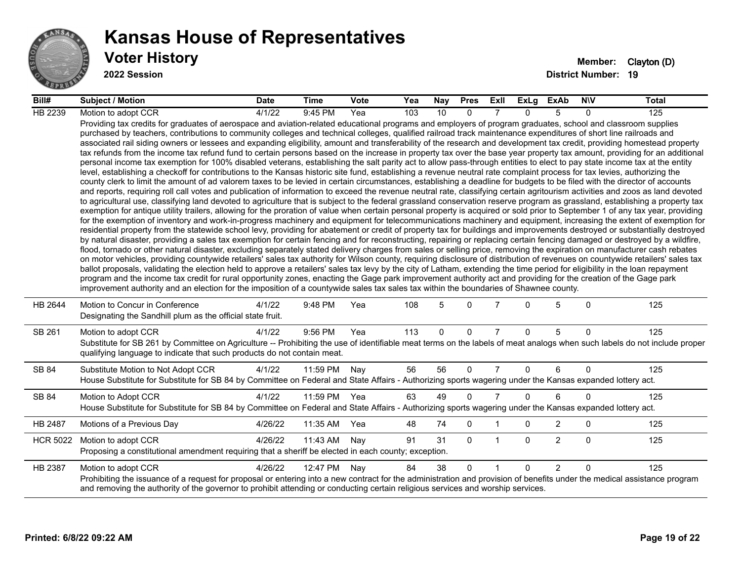

#### **Voter History Member:** Clayton (D) **Kansas House of Representatives**

| Bill#           | <b>Subject / Motion</b>                                                                                                                                                                                                                                                                                                                                                                                                                                                                                                                                                                                                                                                                                                                                                                                                                                                                                                                                                                                                                                                                                                                                                                                                                                                                                                                                                                                                                                                                                                                                                                                                                                                                                                                                                                                                                                                                                                                                                                                                                                                                                                                                                                                                                                                                                                                                                                                                                                                                                                                                                                                                                                                                                                                                                                                                                                                                                                                                                                                                                                                                                                                                                     | <b>Date</b> | Time     | <b>Vote</b> | Yea | Nay | <b>Pres</b> | ExII           | ExLg         | ExAb           | <b>NIV</b>   | Total |
|-----------------|-----------------------------------------------------------------------------------------------------------------------------------------------------------------------------------------------------------------------------------------------------------------------------------------------------------------------------------------------------------------------------------------------------------------------------------------------------------------------------------------------------------------------------------------------------------------------------------------------------------------------------------------------------------------------------------------------------------------------------------------------------------------------------------------------------------------------------------------------------------------------------------------------------------------------------------------------------------------------------------------------------------------------------------------------------------------------------------------------------------------------------------------------------------------------------------------------------------------------------------------------------------------------------------------------------------------------------------------------------------------------------------------------------------------------------------------------------------------------------------------------------------------------------------------------------------------------------------------------------------------------------------------------------------------------------------------------------------------------------------------------------------------------------------------------------------------------------------------------------------------------------------------------------------------------------------------------------------------------------------------------------------------------------------------------------------------------------------------------------------------------------------------------------------------------------------------------------------------------------------------------------------------------------------------------------------------------------------------------------------------------------------------------------------------------------------------------------------------------------------------------------------------------------------------------------------------------------------------------------------------------------------------------------------------------------------------------------------------------------------------------------------------------------------------------------------------------------------------------------------------------------------------------------------------------------------------------------------------------------------------------------------------------------------------------------------------------------------------------------------------------------------------------------------------------------|-------------|----------|-------------|-----|-----|-------------|----------------|--------------|----------------|--------------|-------|
| HB 2239         | Motion to adopt CCR                                                                                                                                                                                                                                                                                                                                                                                                                                                                                                                                                                                                                                                                                                                                                                                                                                                                                                                                                                                                                                                                                                                                                                                                                                                                                                                                                                                                                                                                                                                                                                                                                                                                                                                                                                                                                                                                                                                                                                                                                                                                                                                                                                                                                                                                                                                                                                                                                                                                                                                                                                                                                                                                                                                                                                                                                                                                                                                                                                                                                                                                                                                                                         | 4/1/22      | 9:45 PM  | Yea         | 103 | 10  | $\Omega$    |                | $\Omega$     | 5              | $\Omega$     | 125   |
|                 | Providing tax credits for graduates of aerospace and aviation-related educational programs and employers of program graduates, school and classroom supplies<br>purchased by teachers, contributions to community colleges and technical colleges, qualified railroad track maintenance expenditures of short line railroads and<br>associated rail siding owners or lessees and expanding eligibility, amount and transferability of the research and development tax credit, providing homestead property<br>tax refunds from the income tax refund fund to certain persons based on the increase in property tax over the base year property tax amount, providing for an additional<br>personal income tax exemption for 100% disabled veterans, establishing the salt parity act to allow pass-through entities to elect to pay state income tax at the entity<br>level, establishing a checkoff for contributions to the Kansas historic site fund, establishing a revenue neutral rate complaint process for tax levies, authorizing the<br>county clerk to limit the amount of ad valorem taxes to be levied in certain circumstances, establishing a deadline for budgets to be filed with the director of accounts<br>and reports, requiring roll call votes and publication of information to exceed the revenue neutral rate, classifying certain agritourism activities and zoos as land devoted<br>to agricultural use, classifying land devoted to agriculture that is subject to the federal grassland conservation reserve program as grassland, establishing a property tax<br>exemption for antique utility trailers, allowing for the proration of value when certain personal property is acquired or sold prior to September 1 of any tax year, providing<br>for the exemption of inventory and work-in-progress machinery and equipment for telecommunications machinery and equipment, increasing the extent of exemption for<br>residential property from the statewide school levy, providing for abatement or credit of property tax for buildings and improvements destroyed or substantially destroyed<br>by natural disaster, providing a sales tax exemption for certain fencing and for reconstructing, repairing or replacing certain fencing damaged or destroyed by a wildfire,<br>flood, tornado or other natural disaster, excluding separately stated delivery charges from sales or selling price, removing the expiration on manufacturer cash rebates<br>on motor vehicles, providing countywide retailers' sales tax authority for Wilson county, requiring disclosure of distribution of revenues on countywide retailers' sales tax<br>ballot proposals, validating the election held to approve a retailers' sales tax levy by the city of Latham, extending the time period for eligibility in the loan repayment<br>program and the income tax credit for rural opportunity zones, enacting the Gage park improvement authority act and providing for the creation of the Gage park<br>improvement authority and an election for the imposition of a countywide sales tax sales tax within the boundaries of Shawnee county. |             |          |             |     |     |             |                |              |                |              |       |
| HB 2644         | Motion to Concur in Conference<br>Designating the Sandhill plum as the official state fruit.                                                                                                                                                                                                                                                                                                                                                                                                                                                                                                                                                                                                                                                                                                                                                                                                                                                                                                                                                                                                                                                                                                                                                                                                                                                                                                                                                                                                                                                                                                                                                                                                                                                                                                                                                                                                                                                                                                                                                                                                                                                                                                                                                                                                                                                                                                                                                                                                                                                                                                                                                                                                                                                                                                                                                                                                                                                                                                                                                                                                                                                                                | 4/1/22      | 9:48 PM  | Yea         | 108 | 5   | $\Omega$    |                | 0            | 5              | $\mathbf{0}$ | 125   |
| SB 261          | Motion to adopt CCR<br>Substitute for SB 261 by Committee on Agriculture -- Prohibiting the use of identifiable meat terms on the labels of meat analogs when such labels do not include proper<br>qualifying language to indicate that such products do not contain meat.                                                                                                                                                                                                                                                                                                                                                                                                                                                                                                                                                                                                                                                                                                                                                                                                                                                                                                                                                                                                                                                                                                                                                                                                                                                                                                                                                                                                                                                                                                                                                                                                                                                                                                                                                                                                                                                                                                                                                                                                                                                                                                                                                                                                                                                                                                                                                                                                                                                                                                                                                                                                                                                                                                                                                                                                                                                                                                  | 4/1/22      | 9:56 PM  | Yea         | 113 | 0   | 0           | $\overline{7}$ | $\Omega$     | 5              | $\mathbf{0}$ | 125   |
| SB 84           | Substitute Motion to Not Adopt CCR<br>House Substitute for Substitute for SB 84 by Committee on Federal and State Affairs - Authorizing sports wagering under the Kansas expanded lottery act.                                                                                                                                                                                                                                                                                                                                                                                                                                                                                                                                                                                                                                                                                                                                                                                                                                                                                                                                                                                                                                                                                                                                                                                                                                                                                                                                                                                                                                                                                                                                                                                                                                                                                                                                                                                                                                                                                                                                                                                                                                                                                                                                                                                                                                                                                                                                                                                                                                                                                                                                                                                                                                                                                                                                                                                                                                                                                                                                                                              | 4/1/22      | 11:59 PM | Nay         | 56  | 56  | $\Omega$    | $\overline{7}$ | $\Omega$     | 6              | $\mathbf{0}$ | 125   |
| SB 84           | Motion to Adopt CCR<br>House Substitute for Substitute for SB 84 by Committee on Federal and State Affairs - Authorizing sports wagering under the Kansas expanded lottery act.                                                                                                                                                                                                                                                                                                                                                                                                                                                                                                                                                                                                                                                                                                                                                                                                                                                                                                                                                                                                                                                                                                                                                                                                                                                                                                                                                                                                                                                                                                                                                                                                                                                                                                                                                                                                                                                                                                                                                                                                                                                                                                                                                                                                                                                                                                                                                                                                                                                                                                                                                                                                                                                                                                                                                                                                                                                                                                                                                                                             | 4/1/22      | 11:59 PM | Yea         | 63  | 49  | $\Omega$    | $\overline{7}$ | $\Omega$     | 6              | $\Omega$     | 125   |
| HB 2487         | Motions of a Previous Day                                                                                                                                                                                                                                                                                                                                                                                                                                                                                                                                                                                                                                                                                                                                                                                                                                                                                                                                                                                                                                                                                                                                                                                                                                                                                                                                                                                                                                                                                                                                                                                                                                                                                                                                                                                                                                                                                                                                                                                                                                                                                                                                                                                                                                                                                                                                                                                                                                                                                                                                                                                                                                                                                                                                                                                                                                                                                                                                                                                                                                                                                                                                                   | 4/26/22     | 11:35 AM | Yea         | 48  | 74  | $\mathbf 0$ |                | 0            | $\overline{2}$ | 0            | 125   |
| <b>HCR 5022</b> | Motion to adopt CCR<br>Proposing a constitutional amendment requiring that a sheriff be elected in each county; exception.                                                                                                                                                                                                                                                                                                                                                                                                                                                                                                                                                                                                                                                                                                                                                                                                                                                                                                                                                                                                                                                                                                                                                                                                                                                                                                                                                                                                                                                                                                                                                                                                                                                                                                                                                                                                                                                                                                                                                                                                                                                                                                                                                                                                                                                                                                                                                                                                                                                                                                                                                                                                                                                                                                                                                                                                                                                                                                                                                                                                                                                  | 4/26/22     | 11:43 AM | Nay         | 91  | 31  | $\Omega$    | $\mathbf{1}$   | $\mathbf{0}$ | $\overline{2}$ | $\mathbf{0}$ | 125   |
| HB 2387         | Motion to adopt CCR<br>Prohibiting the issuance of a request for proposal or entering into a new contract for the administration and provision of benefits under the medical assistance program<br>and removing the authority of the governor to prohibit attending or conducting certain religious services and worship services.                                                                                                                                                                                                                                                                                                                                                                                                                                                                                                                                                                                                                                                                                                                                                                                                                                                                                                                                                                                                                                                                                                                                                                                                                                                                                                                                                                                                                                                                                                                                                                                                                                                                                                                                                                                                                                                                                                                                                                                                                                                                                                                                                                                                                                                                                                                                                                                                                                                                                                                                                                                                                                                                                                                                                                                                                                          | 4/26/22     | 12:47 PM | Nay         | 84  | 38  | $\Omega$    | $\overline{1}$ | $\Omega$     | $\overline{2}$ | $\Omega$     | 125   |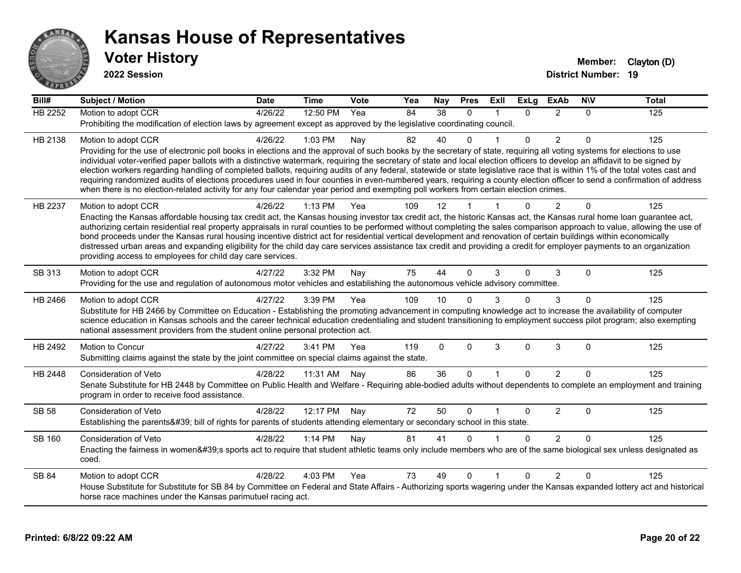

| $\overline{Bill#}$ | <b>Subject / Motion</b>                                                                                                                                                                                                                                                                                                                                    | <b>Date</b> | <b>Time</b> | Vote | Yea | Nay      | <b>Pres</b> | ExII | <b>ExLg</b> | <b>ExAb</b>    | <b>NIV</b> | <b>Total</b> |
|--------------------|------------------------------------------------------------------------------------------------------------------------------------------------------------------------------------------------------------------------------------------------------------------------------------------------------------------------------------------------------------|-------------|-------------|------|-----|----------|-------------|------|-------------|----------------|------------|--------------|
| HB 2252            | Motion to adopt CCR                                                                                                                                                                                                                                                                                                                                        | 4/26/22     | 12:50 PM    | Yea  | 84  | 38       | $\Omega$    |      | $\Omega$    | 2              | $\Omega$   | 125          |
|                    | Prohibiting the modification of election laws by agreement except as approved by the legislative coordinating council.                                                                                                                                                                                                                                     |             |             |      |     |          |             |      |             |                |            |              |
| HB 2138            | Motion to adopt CCR                                                                                                                                                                                                                                                                                                                                        | 4/26/22     | 1:03 PM     | Nay  | 82  | 40       | 0           |      | $\Omega$    | $\overline{2}$ | $\Omega$   | 125          |
|                    | Providing for the use of electronic poll books in elections and the approval of such books by the secretary of state, requiring all voting systems for elections to use                                                                                                                                                                                    |             |             |      |     |          |             |      |             |                |            |              |
|                    | individual voter-verified paper ballots with a distinctive watermark, requiring the secretary of state and local election officers to develop an affidavit to be signed by<br>election workers regarding handling of completed ballots, requiring audits of any federal, statewide or state legislative race that is within 1% of the total votes cast and |             |             |      |     |          |             |      |             |                |            |              |
|                    | requiring randomized audits of elections procedures used in four counties in even-numbered years, requiring a county election officer to send a confirmation of address                                                                                                                                                                                    |             |             |      |     |          |             |      |             |                |            |              |
|                    | when there is no election-related activity for any four calendar year period and exempting poll workers from certain election crimes.                                                                                                                                                                                                                      |             |             |      |     |          |             |      |             |                |            |              |
| HB 2237            | Motion to adopt CCR                                                                                                                                                                                                                                                                                                                                        | 4/26/22     | 1:13 PM     | Yea  | 109 | 12       |             |      | $\Omega$    | 2              | $\Omega$   | 125          |
|                    | Enacting the Kansas affordable housing tax credit act, the Kansas housing investor tax credit act, the historic Kansas act, the Kansas rural home loan guarantee act,                                                                                                                                                                                      |             |             |      |     |          |             |      |             |                |            |              |
|                    | authorizing certain residential real property appraisals in rural counties to be performed without completing the sales comparison approach to value, allowing the use of<br>bond proceeds under the Kansas rural housing incentive district act for residential vertical development and renovation of certain buildings within economically              |             |             |      |     |          |             |      |             |                |            |              |
|                    | distressed urban areas and expanding eligibility for the child day care services assistance tax credit and providing a credit for employer payments to an organization                                                                                                                                                                                     |             |             |      |     |          |             |      |             |                |            |              |
|                    | providing access to employees for child day care services.                                                                                                                                                                                                                                                                                                 |             |             |      |     |          |             |      |             |                |            |              |
| SB 313             | Motion to adopt CCR                                                                                                                                                                                                                                                                                                                                        | 4/27/22     | 3:32 PM     | Nay  | 75  | 44       | $\Omega$    | 3    | $\Omega$    | 3              | $\Omega$   | 125          |
|                    | Providing for the use and regulation of autonomous motor vehicles and establishing the autonomous vehicle advisory committee.                                                                                                                                                                                                                              |             |             |      |     |          |             |      |             |                |            |              |
| HB 2466            | Motion to adopt CCR                                                                                                                                                                                                                                                                                                                                        | 4/27/22     | 3:39 PM     | Yea  | 109 | 10       |             | 3    | $\Omega$    | 3              | 0          | 125          |
|                    | Substitute for HB 2466 by Committee on Education - Establishing the promoting advancement in computing knowledge act to increase the availability of computer                                                                                                                                                                                              |             |             |      |     |          |             |      |             |                |            |              |
|                    | science education in Kansas schools and the career technical education credentialing and student transitioning to employment success pilot program; also exempting<br>national assessment providers from the student online personal protection act.                                                                                                       |             |             |      |     |          |             |      |             |                |            |              |
|                    |                                                                                                                                                                                                                                                                                                                                                            |             |             |      |     |          |             |      |             |                |            |              |
| HB 2492            | Motion to Concur                                                                                                                                                                                                                                                                                                                                           | 4/27/22     | 3:41 PM     | Yea  | 119 | $\Omega$ | $\Omega$    | 3    | $\Omega$    | 3              | $\Omega$   | 125          |
|                    | Submitting claims against the state by the joint committee on special claims against the state.                                                                                                                                                                                                                                                            |             |             |      |     |          |             |      |             |                |            |              |
| HB 2448            | Consideration of Veto                                                                                                                                                                                                                                                                                                                                      | 4/28/22     | 11:31 AM    | Nay  | 86  | 36       | $\Omega$    |      | $\Omega$    | $\overline{2}$ | $\Omega$   | 125          |
|                    | Senate Substitute for HB 2448 by Committee on Public Health and Welfare - Requiring able-bodied adults without dependents to complete an employment and training<br>program in order to receive food assistance.                                                                                                                                           |             |             |      |     |          |             |      |             |                |            |              |
|                    |                                                                                                                                                                                                                                                                                                                                                            |             |             |      |     |          |             |      |             |                |            |              |
| SB 58              | <b>Consideration of Veto</b><br>Establishing the parents' bill of rights for parents of students attending elementary or secondary school in this state.                                                                                                                                                                                                   | 4/28/22     | 12:17 PM    | Nay  | 72  | 50       | $\Omega$    |      | $\Omega$    | 2              | $\Omega$   | 125          |
|                    |                                                                                                                                                                                                                                                                                                                                                            |             |             |      |     |          |             |      |             |                |            |              |
| SB 160             | <b>Consideration of Veto</b>                                                                                                                                                                                                                                                                                                                               | 4/28/22     | $1:14$ PM   | Nay  | 81  | 41       | U           |      | $\Omega$    | $\mathcal{P}$  | $\Omega$   | 125          |
|                    | Enacting the fairness in women's sports act to require that student athletic teams only include members who are of the same biological sex unless designated as<br>coed.                                                                                                                                                                                   |             |             |      |     |          |             |      |             |                |            |              |
| <b>SB 84</b>       | Motion to adopt CCR                                                                                                                                                                                                                                                                                                                                        | 4/28/22     | 4:03 PM     | Yea  | 73  | 49       | $\Omega$    |      | $\Omega$    | 2              | $\Omega$   | 125          |
|                    | House Substitute for Substitute for SB 84 by Committee on Federal and State Affairs - Authorizing sports wagering under the Kansas expanded lottery act and historical                                                                                                                                                                                     |             |             |      |     |          |             |      |             |                |            |              |
|                    | horse race machines under the Kansas parimutuel racing act.                                                                                                                                                                                                                                                                                                |             |             |      |     |          |             |      |             |                |            |              |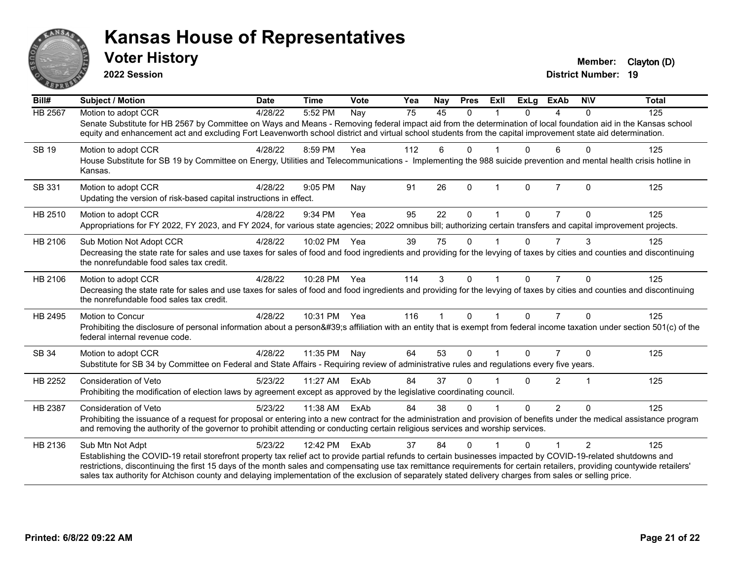

**2022 Session**

**District Number: 19 Voter History Member:** Clayton (D)

| Bill#          | <b>Subject / Motion</b>                                                                                                                                                                                                                                                                                                             | <b>Date</b> | <b>Time</b>  | Vote | Yea | <b>Nay</b>  | <b>Pres</b>  | Exll                 | <b>ExLg</b> | <b>ExAb</b>    | <b>NIV</b>   | <b>Total</b> |
|----------------|-------------------------------------------------------------------------------------------------------------------------------------------------------------------------------------------------------------------------------------------------------------------------------------------------------------------------------------|-------------|--------------|------|-----|-------------|--------------|----------------------|-------------|----------------|--------------|--------------|
| HB 2567        | Motion to adopt CCR                                                                                                                                                                                                                                                                                                                 | 4/28/22     | 5:52 PM      | Nay  | 75  | 45          | $\Omega$     |                      | $\Omega$    | 4              | $\Omega$     | 125          |
|                | Senate Substitute for HB 2567 by Committee on Ways and Means - Removing federal impact aid from the determination of local foundation aid in the Kansas school<br>equity and enhancement act and excluding Fort Leavenworth school district and virtual school students from the capital improvement state aid determination.       |             |              |      |     |             |              |                      |             |                |              |              |
| <b>SB 19</b>   | Motion to adopt CCR                                                                                                                                                                                                                                                                                                                 | 4/28/22     | 8:59 PM      | Yea  | 112 | 6           | $\mathbf{0}$ |                      | 0           | 6              | $\mathbf{0}$ | 125          |
|                | House Substitute for SB 19 by Committee on Energy, Utilities and Telecommunications - Implementing the 988 suicide prevention and mental health crisis hotline in<br>Kansas.                                                                                                                                                        |             |              |      |     |             |              |                      |             |                |              |              |
| SB 331         | Motion to adopt CCR                                                                                                                                                                                                                                                                                                                 | 4/28/22     | 9:05 PM      | Nay  | 91  | 26          | $\mathbf{0}$ | $\mathbf 1$          | $\Omega$    | $\overline{7}$ | $\Omega$     | 125          |
|                | Updating the version of risk-based capital instructions in effect.                                                                                                                                                                                                                                                                  |             |              |      |     |             |              |                      |             |                |              |              |
| HB 2510        | Motion to adopt CCR                                                                                                                                                                                                                                                                                                                 | 4/28/22     | 9:34 PM      | Yea  | 95  | 22          | $\Omega$     |                      | 0           | 7              | 0            | 125          |
|                | Appropriations for FY 2022, FY 2023, and FY 2024, for various state agencies; 2022 omnibus bill; authorizing certain transfers and capital improvement projects.                                                                                                                                                                    |             |              |      |     |             |              |                      |             |                |              |              |
| HB 2106        | Sub Motion Not Adopt CCR                                                                                                                                                                                                                                                                                                            | 4/28/22     | 10:02 PM     | Yea  | 39  | 75          | $\mathbf{0}$ |                      | 0           | $\overline{7}$ | 3            | 125          |
|                | Decreasing the state rate for sales and use taxes for sales of food and food ingredients and providing for the levying of taxes by cities and counties and discontinuing<br>the nonrefundable food sales tax credit.                                                                                                                |             |              |      |     |             |              |                      |             |                |              |              |
| HB 2106        | Motion to adopt CCR                                                                                                                                                                                                                                                                                                                 | 4/28/22     | 10:28 PM Yea |      | 114 | 3           | $\Omega$     | $\blacktriangleleft$ | $\Omega$    | $\overline{7}$ | $\Omega$     | 125          |
|                | Decreasing the state rate for sales and use taxes for sales of food and food ingredients and providing for the levying of taxes by cities and counties and discontinuing<br>the nonrefundable food sales tax credit.                                                                                                                |             |              |      |     |             |              |                      |             |                |              |              |
| HB 2495        | Motion to Concur                                                                                                                                                                                                                                                                                                                    | 4/28/22     | 10:31 PM Yea |      | 116 | $\mathbf 1$ | $\Omega$     | $\mathbf 1$          | $\Omega$    | $\overline{7}$ | $\Omega$     | 125          |
|                | Prohibiting the disclosure of personal information about a person's affiliation with an entity that is exempt from federal income taxation under section 501(c) of the<br>federal internal revenue code.                                                                                                                            |             |              |      |     |             |              |                      |             |                |              |              |
| SB 34          | Motion to adopt CCR                                                                                                                                                                                                                                                                                                                 | 4/28/22     | 11:35 PM     | Nay  | 64  | 53          | $\mathbf{0}$ |                      | $\Omega$    | $\overline{7}$ | $\Omega$     | 125          |
|                | Substitute for SB 34 by Committee on Federal and State Affairs - Requiring review of administrative rules and regulations every five years.                                                                                                                                                                                         |             |              |      |     |             |              |                      |             |                |              |              |
| HB 2252        | <b>Consideration of Veto</b>                                                                                                                                                                                                                                                                                                        | 5/23/22     | 11:27 AM     | ExAb | 84  | 37          | 0            |                      | 0           | $\overline{2}$ | 1            | 125          |
|                | Prohibiting the modification of election laws by agreement except as approved by the legislative coordinating council.                                                                                                                                                                                                              |             |              |      |     |             |              |                      |             |                |              |              |
| <b>HB 2387</b> | <b>Consideration of Veto</b>                                                                                                                                                                                                                                                                                                        | 5/23/22     | 11:38 AM     | ExAb | 84  | 38          | $\mathbf{0}$ |                      | $\Omega$    | $\overline{2}$ | $\Omega$     | 125          |
|                | Prohibiting the issuance of a request for proposal or entering into a new contract for the administration and provision of benefits under the medical assistance program<br>and removing the authority of the governor to prohibit attending or conducting certain religious services and worship services.                         |             |              |      |     |             |              |                      |             |                |              |              |
| HB 2136        | Sub Mtn Not Adpt                                                                                                                                                                                                                                                                                                                    | 5/23/22     | 12:42 PM     | ExAb | 37  | 84          | $\Omega$     |                      | 0           | 1              | 2            | 125          |
|                | Establishing the COVID-19 retail storefront property tax relief act to provide partial refunds to certain businesses impacted by COVID-19-related shutdowns and                                                                                                                                                                     |             |              |      |     |             |              |                      |             |                |              |              |
|                | restrictions, discontinuing the first 15 days of the month sales and compensating use tax remittance requirements for certain retailers, providing countywide retailers'<br>sales tax authority for Atchison county and delaying implementation of the exclusion of separately stated delivery charges from sales or selling price. |             |              |      |     |             |              |                      |             |                |              |              |